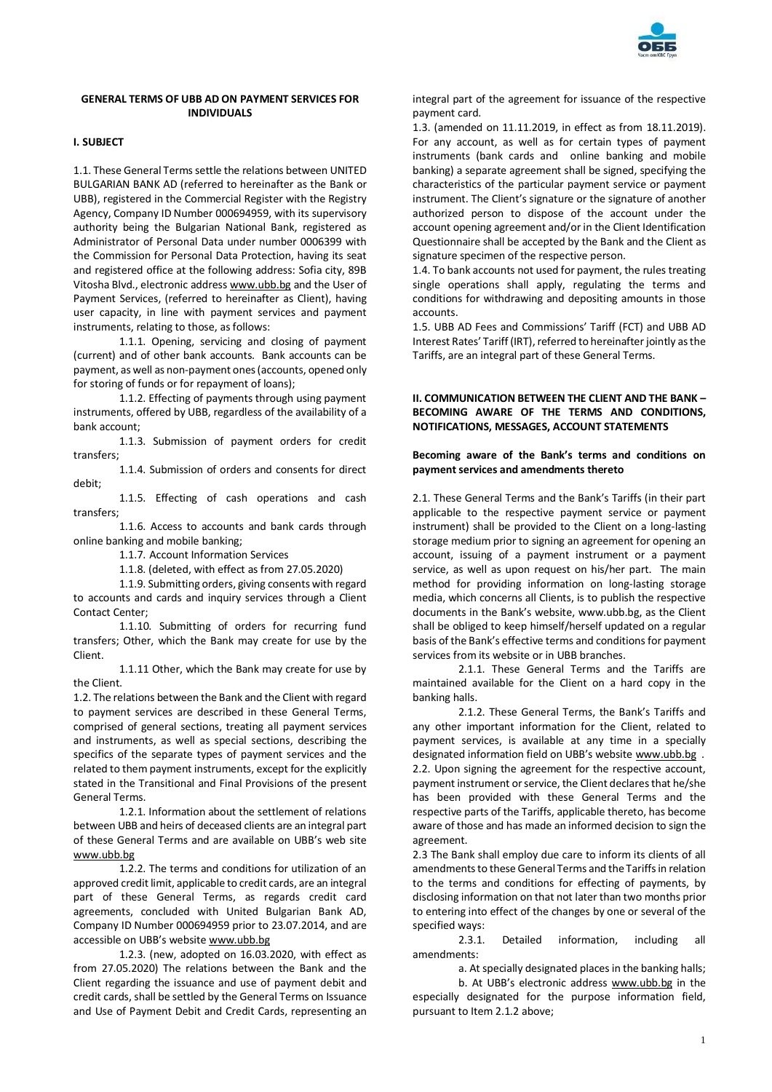

# **GENERAL TERMS OF UBB AD ON PAYMENT SERVICES FOR INDIVIDUALS**

# **I. SUBJECT**

1.1. These General Terms settle the relations between UNITED BULGARIAN BANK AD (referred to hereinafter as the Bank or UBB), registered in the Commercial Register with the Registry Agency, Company ID Number 000694959, with its supervisory authority being the Bulgarian National Bank, registered as Administrator of Personal Data under number 0006399 with the Commission for Personal Data Protection, having its seat and registered office at the following address: Sofia city, 89B Vitosha Blvd., electronic addres[s www.ubb.bg](http://www.ubb.bg/) and the User of Payment Services, (referred to hereinafter as Client), having user capacity, in line with payment services and payment instruments, relating to those, as follows:

1.1.1. Opening, servicing and closing of payment (current) and of other bank accounts. Bank accounts can be payment, as well as non-payment ones (accounts, opened only for storing of funds or for repayment of loans);

1.1.2. Effecting of payments through using payment instruments, offered by UBB, regardless of the availability of a bank account;

1.1.3. Submission of payment orders for credit transfers;

1.1.4. Submission of orders and consents for direct debit;

1.1.5. Effecting of cash operations and cash transfers;

1.1.6. Access to accounts and bank cards through online banking and mobile banking;

1.1.7. Account Information Services

1.1.8. (deleted, with effect as from 27.05.2020)

1.1.9. Submitting orders, giving consents with regard to accounts and cards and inquiry services through a Client Contact Center;

1.1.10. Submitting of orders for recurring fund transfers; Other, which the Bank may create for use by the Client.

1.1.11 Other, which the Bank may create for use by the Client.

1.2. The relations between the Bank and the Client with regard to payment services are described in these General Terms, comprised of general sections, treating all payment services and instruments, as well as special sections, describing the specifics of the separate types of payment services and the related to them payment instruments, except for the explicitly stated in the Transitional and Final Provisions of the present General Terms.

1.2.1. Information about the settlement of relations between UBB and heirs of deceased clients are an integral part of these General Terms and are available on UBB's web site [www.ubb.bg](http://www.ubb.bg/)

1.2.2. The terms and conditions for utilization of an approved credit limit, applicable to credit cards, are an integral part of these General Terms, as regards credit card agreements, concluded with United Bulgarian Bank AD, Company ID Number 000694959 prior to 23.07.2014, and are accessible on UBB's website [www.ubb.bg](http://www.ubb.bg/)

1.2.3. (new, adopted on 16.03.2020, with effect as from 27.05.2020) The relations between the Bank and the Client regarding the issuance and use of payment debit and credit cards, shall be settled by the General Terms on Issuance and Use of Payment Debit and Credit Cards, representing an

integral part of the agreement for issuance of the respective payment card.

1.3. (amended on 11.11.2019, in effect as from 18.11.2019). For any account, as well as for certain types of payment instruments (bank cards and online banking and mobile banking) a separate agreement shall be signed, specifying the characteristics of the particular payment service or payment instrument. The Client's signature or the signature of another authorized person to dispose of the account under the account opening agreement and/or in the Client Identification Questionnaire shall be accepted by the Bank and the Client as signature specimen of the respective person.

1.4. To bank accounts not used for payment, the rules treating single operations shall apply, regulating the terms and conditions for withdrawing and depositing amounts in those accounts.

1.5. UBB AD Fees and Commissions' Tariff (FCT) and UBB AD Interest Rates' Tariff (IRT), referred to hereinafter jointly as the Tariffs, are an integral part of these General Terms.

# **II. COMMUNICATION BETWEEN THE CLIENT AND THE BANK – BECOMING AWARE OF THE TERMS AND CONDITIONS, NOTIFICATIONS, MESSAGES, ACCOUNT STATEMENTS**

## **Becoming aware of the Bank's terms and conditions on payment services and amendments thereto**

2.1. These General Terms and the Bank's Tariffs (in their part applicable to the respective payment service or payment instrument) shall be provided to the Client on a long-lasting storage medium prior to signing an agreement for opening an account, issuing of a payment instrument or a payment service, as well as upon request on his/her part. The main method for providing information on long-lasting storage media, which concerns all Clients, is to publish the respective documents in the Bank's website, www.ubb.bg, as the Client shall be obliged to keep himself/herself updated on a regular basis of the Bank's effective terms and conditions for payment services from its website or in UBB branches.

2.1.1. These General Terms and the Tariffs are maintained available for the Client on a hard copy in the banking halls.

2.1.2. These General Terms, the Bank's Tariffs and any other important information for the Client, related to payment services, is available at any time in a specially designated information field on UBB's website [www.ubb.bg](http://www.ubb.bg/) . 2.2. Upon signing the agreement for the respective account, payment instrument or service, the Client declares that he/she has been provided with these General Terms and the respective parts of the Tariffs, applicable thereto, has become aware of those and has made an informed decision to sign the agreement.

2.3 The Bank shall employ due care to inform its clients of all amendments to these General Terms and the Tariffs in relation to the terms and conditions for effecting of payments, by disclosing information on that not later than two months prior to entering into effect of the changes by one or several of the specified ways:

2.3.1. Detailed information, including all amendments:

а. At specially designated places in the banking halls;

b. At UBB's electronic address [www.ubb.bg](http://www.ubb.bg/) in the especially designated for the purpose information field, pursuant to Item 2.1.2 above;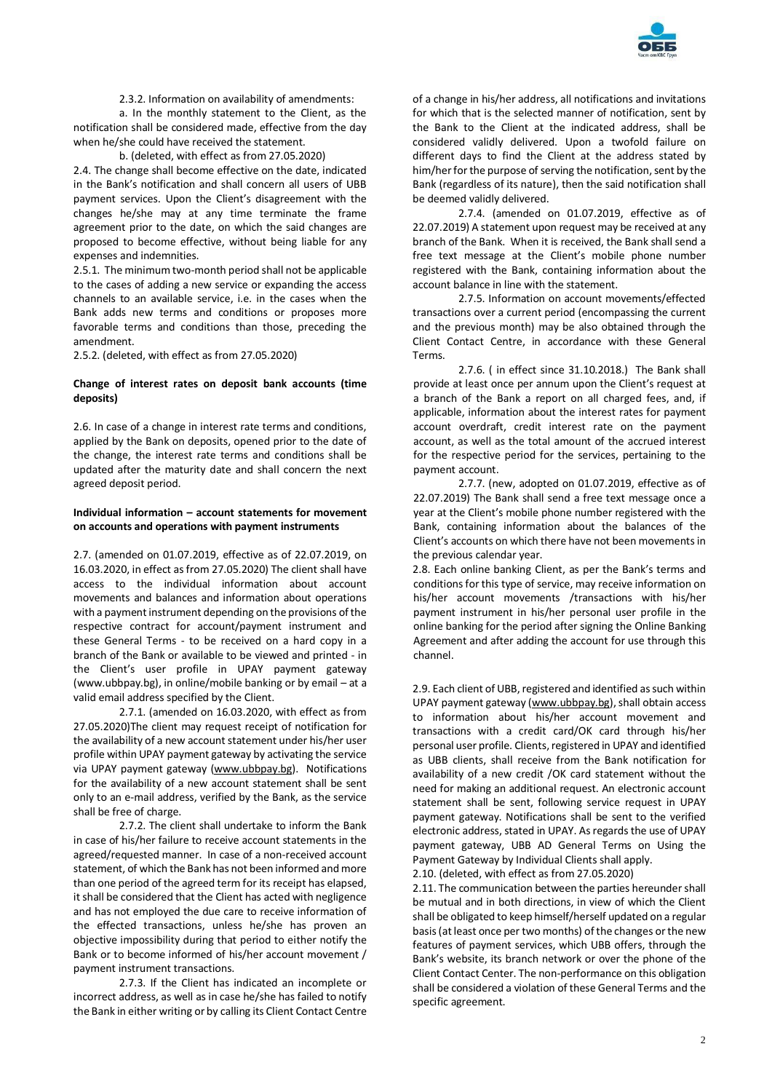

2.3.2. Information on availability of amendments:

а. In the monthly statement to the Client, as the notification shall be considered made, effective from the day when he/she could have received the statement.

## b. (deleted, with effect as from 27.05.2020)

2.4. The change shall become effective on the date, indicated in the Bank's notification and shall concern all users of UBB payment services. Upon the Client's disagreement with the changes he/she may at any time terminate the frame agreement prior to the date, on which the said changes are proposed to become effective, without being liable for any expenses and indemnities.

2.5.1. The minimum two-month period shall not be applicable to the cases of adding a new service or expanding the access channels to an available service, i.e. in the cases when the Bank adds new terms and conditions or proposes more favorable terms and conditions than those, preceding the amendment.

2.5.2. (deleted, with effect as from 27.05.2020)

## **Change of interest rates on deposit bank accounts (time deposits)**

2.6. In case of a change in interest rate terms and conditions, applied by the Bank on deposits, opened prior to the date of the change, the interest rate terms and conditions shall be updated after the maturity date and shall concern the next agreed deposit period.

# **Individual information – account statements for movement on accounts and operations with payment instruments**

2.7. (amended on 01.07.2019, effective as of 22.07.2019, on 16.03.2020, in effect as from 27.05.2020) The client shall have access to the individual information about account movements and balances and information about operations with a payment instrument depending on the provisions of the respective contract for account/payment instrument and these General Terms - to be received on a hard copy in a branch of the Bank or available to be viewed and printed - in the Client's user profile in UPAY payment gateway (www.ubbpay.bg), in online/mobile banking or by email – at a valid email address specified by the Client.

2.7.1. (amended on 16.03.2020, with effect as from 27.05.2020)The client may request receipt of notification for the availability of a new account statement under his/her user profile within UPAY payment gateway by activating the service via UPAY payment gateway [\(www.ubbpay.bg\)](http://www.ubbpay.bg/). Notifications for the availability of a new account statement shall be sent only to an e-mail address, verified by the Bank, as the service shall be free of charge.

2.7.2. The client shall undertake to inform the Bank in case of his/her failure to receive account statements in the agreed/requested manner. In case of a non-received account statement, of which the Bank has not been informed and more than one period of the agreed term for its receipt has elapsed, it shall be considered that the Client has acted with negligence and has not employed the due care to receive information of the effected transactions, unless he/she has proven an objective impossibility during that period to either notify the Bank or to become informed of his/her account movement / payment instrument transactions.

2.7.3. If the Client has indicated an incomplete or incorrect address, as well as in case he/she has failed to notify the Bank in either writing or by calling its Client Contact Centre

of a change in his/her address, all notifications and invitations for which that is the selected manner of notification, sent by the Bank to the Client at the indicated address, shall be considered validly delivered. Upon a twofold failure on different days to find the Client at the address stated by him/her for the purpose of serving the notification, sent by the Bank (regardless of its nature), then the said notification shall be deemed validly delivered.

2.7.4. (amended on 01.07.2019, effective as of 22.07.2019) A statement upon request may be received at any branch of the Bank. When it is received, the Bank shall send a free text message at the Client's mobile phone number registered with the Bank, containing information about the account balance in line with the statement.

2.7.5. Information on account movements/effected transactions over a current period (encompassing the current and the previous month) may be also obtained through the Client Contact Centre, in accordance with these General Terms.

2.7.6. ( in effect since 31.10.2018.) The Bank shall provide at least once per annum upon the Client's request at a branch of the Bank a report on all charged fees, and, if applicable, information about the interest rates for payment account overdraft, credit interest rate on the payment account, as well as the total amount of the accrued interest for the respective period for the services, pertaining to the payment account.

2.7.7. (new, adopted on 01.07.2019, effective as of 22.07.2019) The Bank shall send a free text message once a year at the Client's mobile phone number registered with the Bank, containing information about the balances of the Client's accounts on which there have not been movements in the previous calendar year.

2.8. Each online banking Client, as per the Bank's terms and conditions for this type of service, may receive information on his/her account movements /transactions with his/her payment instrument in his/her personal user profile in the online banking for the period after signing the Online Banking Agreement and after adding the account for use through this channel.

2.9. Each client of UBB, registered and identified as such within UPAY payment gateway [\(www.ubbpay.bg\)](http://www.ubbpay.bg/), shall obtain access to information about his/her account movement and transactions with a credit card/OK card through his/her personal user profile. Clients, registered in UPAY and identified as UBB clients, shall receive from the Bank notification for availability of a new credit /OK card statement without the need for making an additional request. An electronic account statement shall be sent, following service request in UPAY payment gateway. Notifications shall be sent to the verified electronic address, stated in UPAY. As regards the use of UPAY payment gateway, UBB AD General Terms on Using the Payment Gateway by Individual Clients shall apply.

2.10. (deleted, with effect as from 27.05.2020)

2.11. The communication between the parties hereunder shall be mutual and in both directions, in view of which the Client shall be obligated to keep himself/herself updated on a regular basis (at least once per two months) of the changes or the new features of payment services, which UBB offers, through the Bank's website, its branch network or over the phone of the Client Contact Center. The non-performance on this obligation shall be considered a violation of these General Terms and the specific agreement.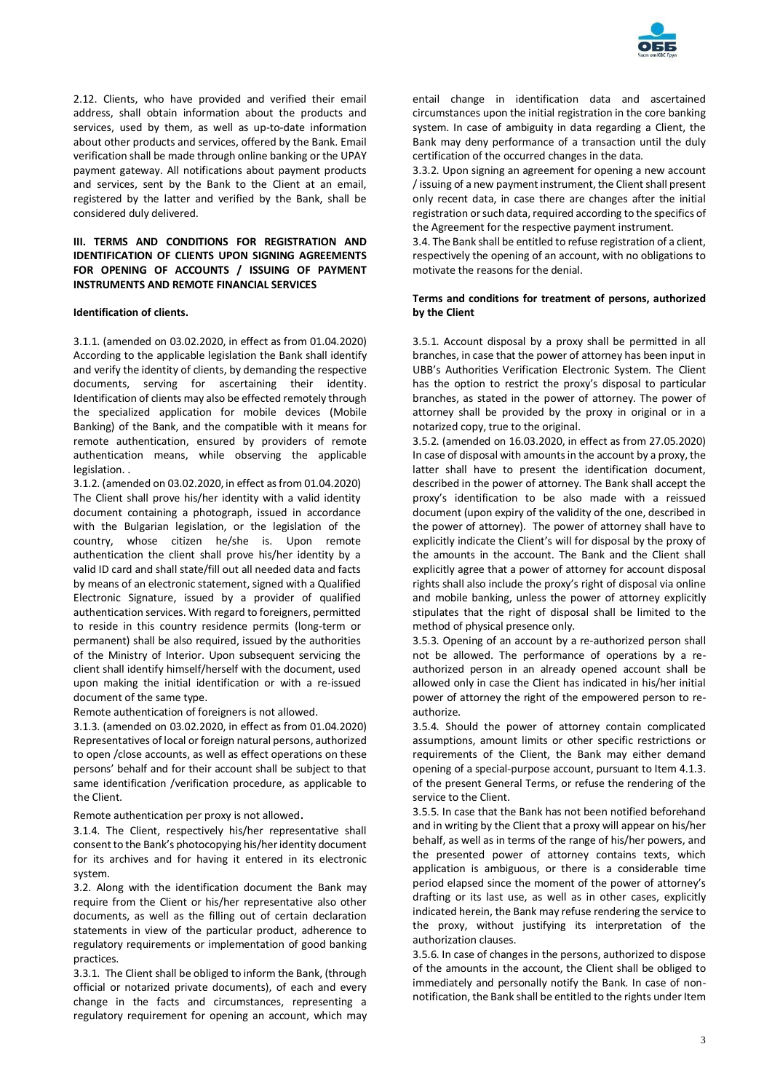

2.12. Clients, who have provided and verified their email address, shall obtain information about the products and services, used by them, as well as up-to-date information about other products and services, offered by the Bank. Email verification shall be made through online banking or the UPAY payment gateway. All notifications about payment products and services, sent by the Bank to the Client at an email, registered by the latter and verified by the Bank, shall be considered duly delivered.

# **III. TERMS AND CONDITIONS FOR REGISTRATION AND IDENTIFICATION OF CLIENTS UPON SIGNING AGREEMENTS FOR OPENING OF ACCOUNTS / ISSUING OF PAYMENT INSTRUMENTS AND REMOTE FINANCIAL SERVICES**

## **Identification of clients.**

3.1.1. (amended on 03.02.2020, in effect as from 01.04.2020) According to the applicable legislation the Bank shall identify and verify the identity of clients, by demanding the respective documents, serving for ascertaining their identity. Identification of clients may also be effected remotely through the specialized application for mobile devices (Mobile Banking) of the Bank, and the compatible with it means for remote authentication, ensured by providers of remote authentication means, while observing the applicable legislation. .

3.1.2. (amended on 03.02.2020, in effect as from 01.04.2020) The Client shall prove his/her identity with a valid identity document containing a photograph, issued in accordance with the Bulgarian legislation, or the legislation of the country, whose citizen he/she is. Upon remote authentication the client shall prove his/her identity by a valid ID card and shall state/fill out all needed data and facts by means of an electronic statement, signed with a Qualified Electronic Signature, issued by a provider of qualified authentication services. With regard to foreigners, permitted to reside in this country residence permits (long-term or permanent) shall be also required, issued by the authorities of the Ministry of Interior. Upon subsequent servicing the client shall identify himself/herself with the document, used upon making the initial identification or with a re-issued document of the same type.

Remote authentication of foreigners is not allowed.

3.1.3. (amended on 03.02.2020, in effect as from 01.04.2020) Representatives of local or foreign natural persons, authorized to open /close accounts, as well as effect operations on these persons' behalf and for their account shall be subject to that same identification /verification procedure, as applicable to the Client.

Remote authentication per proxy is not allowed.

3.1.4. The Client, respectively his/her representative shall consent to the Bank's photocopying his/her identity document for its archives and for having it entered in its electronic system.

3.2. Along with the identification document the Bank may require from the Client or his/her representative also other documents, as well as the filling out of certain declaration statements in view of the particular product, adherence to regulatory requirements or implementation of good banking practices.

3.3.1. The Client shall be obliged to inform the Bank, (through official or notarized private documents), of each and every change in the facts and circumstances, representing a regulatory requirement for opening an account, which may

entail change in identification data and ascertained circumstances upon the initial registration in the core banking system. In case of ambiguity in data regarding a Client, the Bank may deny performance of a transaction until the duly certification of the occurred changes in the data.

3.3.2. Upon signing an agreement for opening a new account / issuing of a new payment instrument, the Client shall present only recent data, in case there are changes after the initial registration or such data, required according to the specifics of the Agreement for the respective payment instrument.

3.4. The Bank shall be entitled to refuse registration of a client, respectively the opening of an account, with no obligations to motivate the reasons for the denial.

## **Terms and conditions for treatment of persons, authorized by the Client**

3.5.1. Account disposal by a proxy shall be permitted in all branches, in case that the power of attorney has been input in UBB's Authorities Verification Electronic System. The Client has the option to restrict the proxy's disposal to particular branches, as stated in the power of attorney. The power of attorney shall be provided by the proxy in original or in a notarized copy, true to the original.

3.5.2. (amended on 16.03.2020, in effect as from 27.05.2020) In case of disposal with amounts in the account by a proxy, the latter shall have to present the identification document, described in the power of attorney. The Bank shall accept the proxy's identification to be also made with a reissued document (upon expiry of the validity of the one, described in the power of attorney). The power of attorney shall have to explicitly indicate the Client's will for disposal by the proxy of the amounts in the account. The Bank and the Client shall explicitly agree that a power of attorney for account disposal rights shall also include the proxy's right of disposal via online and mobile banking, unless the power of attorney explicitly stipulates that the right of disposal shall be limited to the method of physical presence only.

3.5.3. Opening of an account by a re-authorized person shall not be allowed. The performance of operations by a reauthorized person in an already opened account shall be allowed only in case the Client has indicated in his/her initial power of attorney the right of the empowered person to reauthorize.

3.5.4. Should the power of attorney contain complicated assumptions, amount limits or other specific restrictions or requirements of the Client, the Bank may either demand opening of a special-purpose account, pursuant to Item 4.1.3. of the present General Terms, or refuse the rendering of the service to the Client.

3.5.5. In case that the Bank has not been notified beforehand and in writing by the Client that a proxy will appear on his/her behalf, as well as in terms of the range of his/her powers, and the presented power of attorney contains texts, which application is ambiguous, or there is a considerable time period elapsed since the moment of the power of attorney's drafting or its last use, as well as in other cases, explicitly indicated herein, the Bank may refuse rendering the service to the proxy, without justifying its interpretation of the authorization clauses.

3.5.6. In case of changes in the persons, authorized to dispose of the amounts in the account, the Client shall be obliged to immediately and personally notify the Bank. In case of nonnotification, the Bank shall be entitled to the rights under Item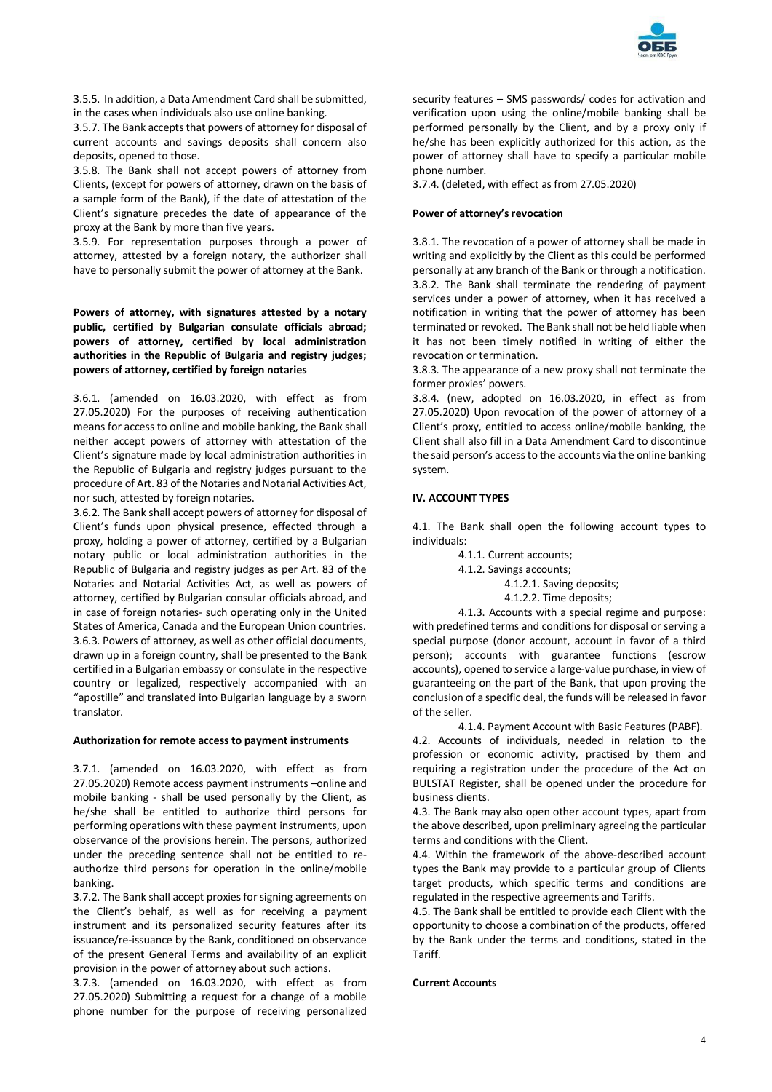

3.5.5. In addition, a Data Amendment Card shall be submitted, in the cases when individuals also use online banking.

3.5.7. The Bank accepts that powers of attorney for disposal of current accounts and savings deposits shall concern also deposits, opened to those.

3.5.8. The Bank shall not accept powers of attorney from Clients, (except for powers of attorney, drawn on the basis of a sample form of the Bank), if the date of attestation of the Client's signature precedes the date of appearance of the proxy at the Bank by more than five years.

3.5.9. For representation purposes through a power of attorney, attested by a foreign notary, the authorizer shall have to personally submit the power of attorney at the Bank.

**Powers of attorney, with signatures attested by a notary public, certified by Bulgarian consulate officials abroad; powers of attorney, certified by local administration authorities in the Republic of Bulgaria and registry judges; powers of attorney, certified by foreign notaries**

3.6.1. (amended on 16.03.2020, with effect as from 27.05.2020) For the purposes of receiving authentication means for access to online and mobile banking, the Bank shall neither accept powers of attorney with attestation of the Client's signature made by local administration authorities in the Republic of Bulgaria and registry judges pursuant to the procedure of Art. 83 of the Notaries and Notarial Activities Act, nor such, attested by foreign notaries.

3.6.2. The Bank shall accept powers of attorney for disposal of Client's funds upon physical presence, effected through a proxy, holding a power of attorney, certified by a Bulgarian notary public or local administration authorities in the Republic of Bulgaria and registry judges as per Art. 83 of the Notaries and Notarial Activities Act, as well as powers of attorney, certified by Bulgarian consular officials abroad, and in case of foreign notaries- such operating only in the United States of America, Canada and the European Union countries. 3.6.3. Powers of attorney, as well as other official documents, drawn up in a foreign country, shall be presented to the Bank certified in a Bulgarian embassy or consulate in the respective country or legalized, respectively accompanied with an "apostille" and translated into Bulgarian language by a sworn translator.

#### **Authorization for remote access to payment instruments**

3.7.1. (amended on 16.03.2020, with effect as from 27.05.2020) Remote access payment instruments –online and mobile banking - shall be used personally by the Client, as he/she shall be entitled to authorize third persons for performing operations with these payment instruments, upon observance of the provisions herein. The persons, authorized under the preceding sentence shall not be entitled to reauthorize third persons for operation in the online/mobile banking.

3.7.2. The Bank shall accept proxies for signing agreements on the Client's behalf, as well as for receiving a payment instrument and its personalized security features after its issuance/re-issuance by the Bank, conditioned on observance of the present General Terms and availability of an explicit provision in the power of attorney about such actions.

3.7.3. (amended on 16.03.2020, with effect as from 27.05.2020) Submitting a request for a change of a mobile phone number for the purpose of receiving personalized

security features – SMS passwords/ codes for activation and verification upon using the online/mobile banking shall be performed personally by the Client, and by a proxy only if he/she has been explicitly authorized for this action, as the power of attorney shall have to specify a particular mobile phone number.

3.7.4. (deleted, with effect as from 27.05.2020)

#### **Power of attorney's revocation**

3.8.1. The revocation of a power of attorney shall be made in writing and explicitly by the Client as this could be performed personally at any branch of the Bank or through a notification. 3.8.2. The Bank shall terminate the rendering of payment services under a power of attorney, when it has received a notification in writing that the power of attorney has been terminated or revoked. The Bank shall not be held liable when it has not been timely notified in writing of either the revocation or termination.

3.8.3. The appearance of a new proxy shall not terminate the former proxies' powers.

3.8.4. (new, adopted on 16.03.2020, in effect as from 27.05.2020) Upon revocation of the power of attorney of a Client's proxy, entitled to access online/mobile banking, the Client shall also fill in a Data Amendment Card to discontinue the said person's access to the accounts via the online banking system.

#### **IV. ACCOUNT TYPES**

4.1. The Bank shall open the following account types to individuals:

4.1.1. Current accounts;

4.1.2. Savings accounts;

4.1.2.1. Saving deposits;

4.1.2.2. Time deposits;

4.1.3. Accounts with a special regime and purpose: with predefined terms and conditions for disposal or serving a special purpose (donor account, account in favor of a third person); accounts with guarantee functions (escrow accounts), opened to service a large-value purchase, in view of guaranteeing on the part of the Bank, that upon proving the conclusion of a specific deal, the funds will be released in favor of the seller.

4.1.4. Payment Account with Basic Features (PABF). 4.2. Accounts of individuals, needed in relation to the profession or economic activity, practised by them and requiring a registration under the procedure of the Act on BULSTAT Register, shall be opened under the procedure for business clients.

4.3. The Bank may also open other account types, apart from the above described, upon preliminary agreeing the particular terms and conditions with the Client.

4.4. Within the framework of the above-described account types the Bank may provide to a particular group of Clients target products, which specific terms and conditions are regulated in the respective agreements and Tariffs.

4.5. The Bank shall be entitled to provide each Client with the opportunity to choose a combination of the products, offered by the Bank under the terms and conditions, stated in the Tariff.

#### **Current Accounts**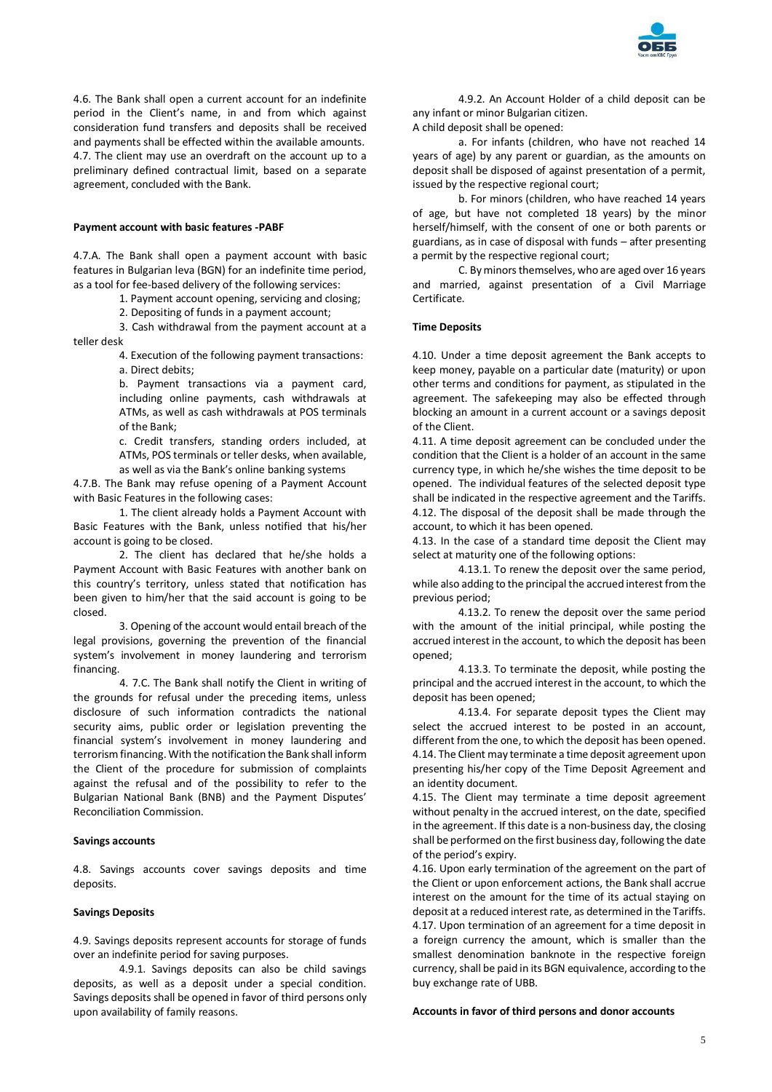

4.6. The Bank shall open a current account for an indefinite period in the Client's name, in and from which against consideration fund transfers and deposits shall be received and payments shall be effected within the available amounts. 4.7. The client may use an overdraft on the account up to a preliminary defined contractual limit, based on a separate agreement, concluded with the Bank.

# **Payment account with basic features -PABF**

4.7.A. The Bank shall open a payment account with basic features in Bulgarian leva (BGN) for an indefinite time period, as a tool for fee-based delivery of the following services:

1. Payment account opening, servicing and closing;

2. Depositing of funds in a payment account;

3. Cash withdrawal from the payment account at a teller desk

> 4. Execution of the following payment transactions: а. Direct debits;

b. Payment transactions via a payment card, including online payments, cash withdrawals at ATMs, as well as cash withdrawals at POS terminals of the Bank;

c. Credit transfers, standing orders included, at ATMs, POS terminals or teller desks, when available, as well as via the Bank's online banking systems

4.7.B. The Bank may refuse opening of a Payment Account with Basic Features in the following cases:

1. The client already holds a Payment Account with Basic Features with the Bank, unless notified that his/her account is going to be closed.

2. The client has declared that he/she holds a Payment Account with Basic Features with another bank on this country's territory, unless stated that notification has been given to him/her that the said account is going to be closed.

3. Opening of the account would entail breach of the legal provisions, governing the prevention of the financial system's involvement in money laundering and terrorism financing.

4. 7.C. The Bank shall notify the Client in writing of the grounds for refusal under the preceding items, unless disclosure of such information contradicts the national security aims, public order or legislation preventing the financial system's involvement in money laundering and terrorism financing. With the notification the Bank shall inform the Client of the procedure for submission of complaints against the refusal and of the possibility to refer to the Bulgarian National Bank (BNB) and the Payment Disputes' Reconciliation Commission.

#### **Savings accounts**

4.8. Savings accounts cover savings deposits and time deposits.

#### **Savings Deposits**

4.9. Savings deposits represent accounts for storage of funds over an indefinite period for saving purposes.

4.9.1. Savings deposits can also be child savings deposits, as well as a deposit under a special condition. Savings deposits shall be opened in favor of third persons only upon availability of family reasons.

4.9.2. An Account Holder of a child deposit can be any infant or minor Bulgarian citizen.

A child deposit shall be opened:

а. For infants (children, who have not reached 14 years of age) by any parent or guardian, as the amounts on deposit shall be disposed of against presentation of a permit, issued by the respective regional court;

b. For minors (children, who have reached 14 years of age, but have not completed 18 years) by the minor herself/himself, with the consent of one or both parents or guardians, as in case of disposal with funds – after presenting a permit by the respective regional court;

C. By minors themselves, who are aged over 16 years and married, against presentation of a Civil Marriage Certificate.

#### **Time Deposits**

4.10. Under a time deposit agreement the Bank accepts to keep money, payable on a particular date (maturity) or upon other terms and conditions for payment, as stipulated in the agreement. The safekeeping may also be effected through blocking an amount in a current account or a savings deposit of the Client.

4.11. A time deposit agreement can be concluded under the condition that the Client is a holder of an account in the same currency type, in which he/she wishes the time deposit to be opened. The individual features of the selected deposit type shall be indicated in the respective agreement and the Tariffs. 4.12. The disposal of the deposit shall be made through the account, to which it has been opened.

4.13. In the case of a standard time deposit the Client may select at maturity one of the following options:

4.13.1. To renew the deposit over the same period, while also adding to the principal the accrued interest from the previous period;

4.13.2. To renew the deposit over the same period with the amount of the initial principal, while posting the accrued interest in the account, to which the deposit has been opened;

4.13.3. To terminate the deposit, while posting the principal and the accrued interest in the account, to which the deposit has been opened;

4.13.4. For separate deposit types the Client may select the accrued interest to be posted in an account, different from the one, to which the deposit has been opened. 4.14. The Client may terminate a time deposit agreement upon presenting his/her copy of the Time Deposit Agreement and an identity document.

4.15. The Client may terminate a time deposit agreement without penalty in the accrued interest, on the date, specified in the agreement. If this date is a non-business day, the closing shall be performed on the first business day, following the date of the period's expiry.

4.16. Upon early termination of the agreement on the part of the Client or upon enforcement actions, the Bank shall accrue interest on the amount for the time of its actual staying on deposit at a reduced interest rate, as determined in the Tariffs. 4.17. Upon termination of an agreement for a time deposit in a foreign currency the amount, which is smaller than the smallest denomination banknote in the respective foreign currency, shall be paid in its BGN equivalence, according to the buy exchange rate of UBB.

#### **Accounts in favor of third persons and donor accounts**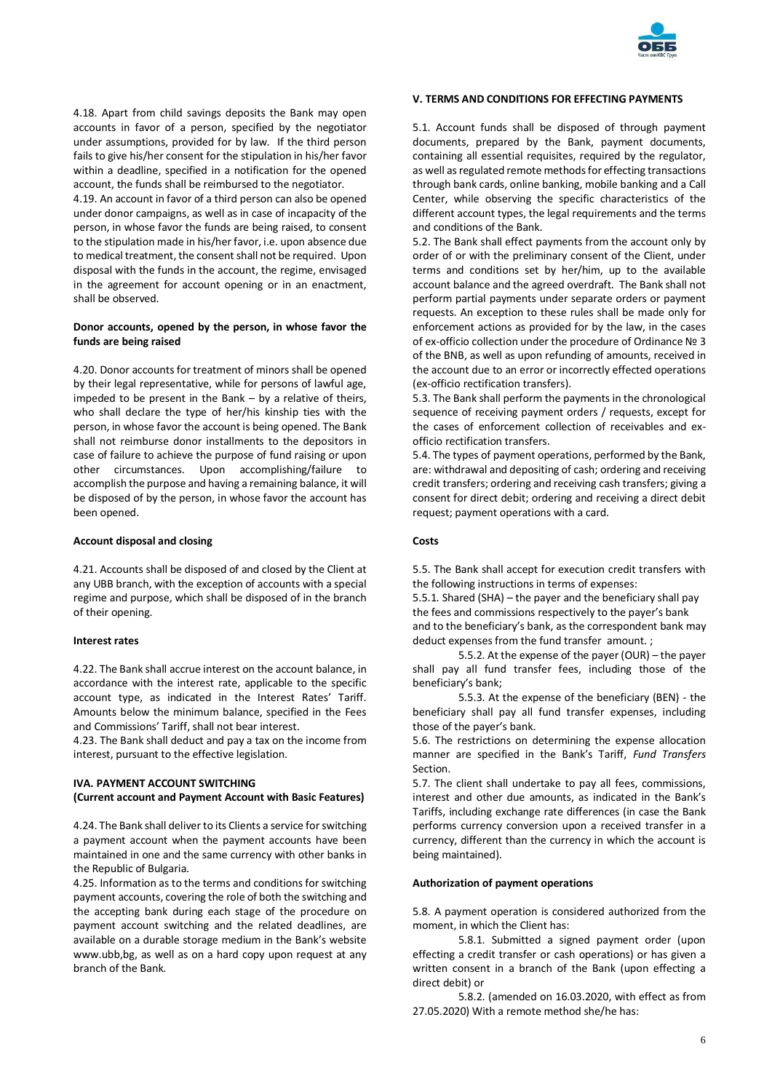

4.18. Apart from child savings deposits the Bank may open accounts in favor of a person, specified by the negotiator under assumptions, provided for by law. If the third person fails to give his/her consent for the stipulation in his/her favor within a deadline, specified in a notification for the opened account, the funds shall be reimbursed to the negotiator.

4.19. An account in favor of a third person can also be opened under donor campaigns, as well as in case of incapacity of the person, in whose favor the funds are being raised, to consent to the stipulation made in his/her favor, i.e. upon absence due to medical treatment, the consent shall not be required. Upon disposal with the funds in the account, the regime, envisaged in the agreement for account opening or in an enactment, shall be observed.

# **Donor accounts, opened by the person, in whose favor the funds are being raised**

4.20. Donor accounts for treatment of minors shall be opened by their legal representative, while for persons of lawful age, impeded to be present in the Bank – by a relative of theirs, who shall declare the type of her/his kinship ties with the person, in whose favor the account is being opened. The Bank shall not reimburse donor installments to the depositors in case of failure to achieve the purpose of fund raising or upon other circumstances. Upon accomplishing/failure to accomplish the purpose and having a remaining balance, it will be disposed of by the person, in whose favor the account has been opened.

## **Account disposal and closing**

4.21. Accounts shall be disposed of and closed by the Client at any UBB branch, with the exception of accounts with a special regime and purpose, which shall be disposed of in the branch of their opening.

#### **Interest rates**

4.22. The Bank shall accrue interest on the account balance, in accordance with the interest rate, applicable to the specific account type, as indicated in the Interest Rates' Tariff. Amounts below the minimum balance, specified in the Fees and Commissions' Tariff, shall not bear interest.

4.23. The Bank shall deduct and pay a tax on the income from interest, pursuant to the effective legislation.

# **IVA. PAYMENT ACCOUNT SWITCHING (Current account and Payment Account with Basic Features)**

4.24. The Bank shall deliver to its Clients a service for switching a payment account when the payment accounts have been maintained in one and the same currency with other banks in the Republic of Bulgaria.

4.25. Information as to the terms and conditions for switching payment accounts, covering the role of both the switching and the accepting bank during each stage of the procedure on payment account switching and the related deadlines, are available on a durable storage medium in the Bank's website www.ubb,bg, as well as on a hard copy upon request at any branch of the Bank.

# **V. TERMS AND CONDITIONS FOR EFFECTING PAYMENTS**

5.1. Account funds shall be disposed of through payment documents, prepared by the Bank, payment documents, containing all essential requisites, required by the regulator, as well as regulated remote methods for effecting transactions through bank cards, online banking, mobile banking and a Call Center, while observing the specific characteristics of the different account types, the legal requirements and the terms and conditions of the Bank.

5.2. The Bank shall effect payments from the account only by order of or with the preliminary consent of the Client, under terms and conditions set by her/him, up to the available account balance and the agreed overdraft. The Bank shall not perform partial payments under separate orders or payment requests. An exception to these rules shall be made only for enforcement actions as provided for by the law, in the cases of ex-officio collection under the procedure of Ordinance № 3 of the BNB, as well as upon refunding of amounts, received in the account due to an error or incorrectly effected operations (ex-officio rectification transfers).

5.3. The Bank shall perform the payments in the chronological sequence of receiving payment orders / requests, except for the cases of enforcement collection of receivables and exofficio rectification transfers.

5.4. The types of payment operations, performed by the Bank, are: withdrawal and depositing of cash; ordering and receiving credit transfers; ordering and receiving cash transfers; giving a consent for direct debit; ordering and receiving a direct debit request; payment operations with a card.

# **Costs**

5.5. The Bank shall accept for execution credit transfers with the following instructions in terms of expenses:

5.5.1. Shared (SHA) – the payer and the beneficiary shall pay the fees and commissions respectively to the payer's bank and to the beneficiary's bank, as the correspondent bank may deduct expenses from the fund transfer amount. ;

5.5.2. At the expense of the payer (OUR) – the payer shall pay all fund transfer fees, including those of the beneficiary's bank;

5.5.3. At the expense of the beneficiary (BEN) - the beneficiary shall pay all fund transfer expenses, including those of the payer's bank.

5.6. The restrictions on determining the expense allocation manner are specified in the Bank's Tariff, *Fund Transfers* Section.

5.7. The client shall undertake to pay all fees, commissions, interest and other due amounts, as indicated in the Bank's Tariffs, including exchange rate differences (in case the Bank performs currency conversion upon a received transfer in a currency, different than the currency in which the account is being maintained).

#### **Authorization of payment operations**

5.8. A payment operation is considered authorized from the moment, in which the Client has:

5.8.1. Submitted a signed payment order (upon effecting a credit transfer or cash operations) or has given a written consent in a branch of the Bank (upon effecting a direct debit) or

5.8.2. (amended on 16.03.2020, with effect as from 27.05.2020) With a remote method she/he has: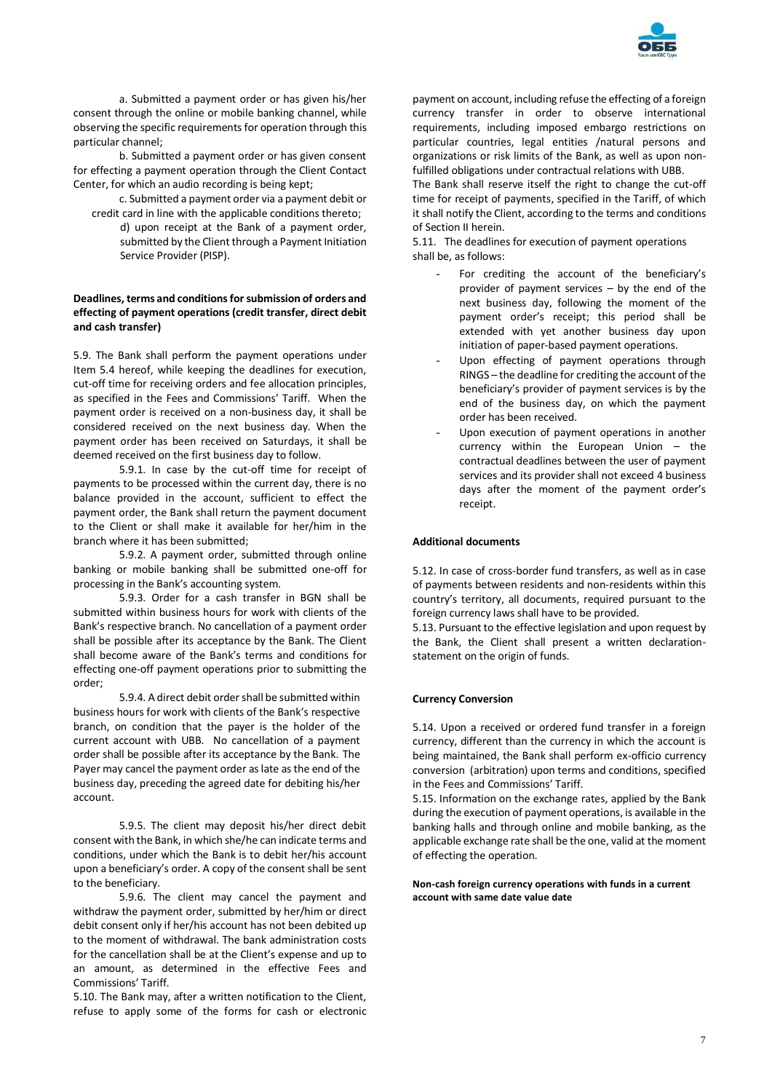

a. Submitted a payment order or has given his/her consent through the online or mobile banking channel, while observing the specific requirements for operation through this particular channel;

b. Submitted a payment order or has given consent for effecting a payment operation through the Client Contact Center, for which an audio recording is being kept;

c. Submitted a payment order via a payment debit or credit card in line with the applicable conditions thereto; d) upon receipt at the Bank of a payment order, submitted by the Client through a Payment Initiation

Service Provider (PISP).

# **Deadlines, terms and conditions for submission of orders and effecting of payment operations (credit transfer, direct debit and cash transfer)**

5.9. The Bank shall perform the payment operations under Item 5.4 hereof, while keeping the deadlines for execution, cut-off time for receiving orders and fee allocation principles, as specified in the Fees and Commissions' Tariff. When the payment order is received on a non-business day, it shall be considered received on the next business day. When the payment order has been received on Saturdays, it shall be deemed received on the first business day to follow.

5.9.1. In case by the cut-off time for receipt of payments to be processed within the current day, there is no balance provided in the account, sufficient to effect the payment order, the Bank shall return the payment document to the Client or shall make it available for her/him in the branch where it has been submitted;

5.9.2. A payment order, submitted through online banking or mobile banking shall be submitted one-off for processing in the Bank's accounting system.

5.9.3. Order for a cash transfer in BGN shall be submitted within business hours for work with clients of the Bank's respective branch. No cancellation of a payment order shall be possible after its acceptance by the Bank. The Client shall become aware of the Bank's terms and conditions for effecting one-off payment operations prior to submitting the order;

5.9.4. A direct debit order shall be submitted within business hours for work with clients of the Bank's respective branch, on condition that the payer is the holder of the current account with UBB. No cancellation of a payment order shall be possible after its acceptance by the Bank. The Payer may cancel the payment order as late as the end of the business day, preceding the agreed date for debiting his/her account.

5.9.5. The client may deposit his/her direct debit consent with the Bank, in which she/he can indicate terms and conditions, under which the Bank is to debit her/his account upon a beneficiary's order. A copy of the consent shall be sent to the beneficiary.

5.9.6. The client may cancel the payment and withdraw the payment order, submitted by her/him or direct debit consent only if her/his account has not been debited up to the moment of withdrawal. The bank administration costs for the cancellation shall be at the Client's expense and up to an amount, as determined in the effective Fees and Commissions' Tariff.

5.10. The Bank may, after a written notification to the Client, refuse to apply some of the forms for cash or electronic

payment on account, including refuse the effecting of a foreign currency transfer in order to observe international requirements, including imposed embargo restrictions on particular countries, legal entities /natural persons and organizations or risk limits of the Bank, as well as upon nonfulfilled obligations under contractual relations with UBB.

The Bank shall reserve itself the right to change the cut-off time for receipt of payments, specified in the Tariff, of which it shall notify the Client, according to the terms and conditions of Section II herein.

5.11. The deadlines for execution of payment operations shall be, as follows:

- For crediting the account of the beneficiary's provider of payment services – by the end of the next business day, following the moment of the payment order's receipt; this period shall be extended with yet another business day upon initiation of paper-based payment operations.
- Upon effecting of payment operations through RINGS – the deadline for crediting the account of the beneficiary's provider of payment services is by the end of the business day, on which the payment order has been received.
- Upon execution of payment operations in another currency within the European Union – the contractual deadlines between the user of payment services and its provider shall not exceed 4 business days after the moment of the payment order's receipt.

## **Additional documents**

5.12. In case of cross-border fund transfers, as well as in case of payments between residents and non-residents within this country's territory, all documents, required pursuant to the foreign currency laws shall have to be provided.

5.13. Pursuant to the effective legislation and upon request by the Bank, the Client shall present a written declarationstatement on the origin of funds.

#### **Currency Conversion**

5.14. Upon a received or ordered fund transfer in a foreign currency, different than the currency in which the account is being maintained, the Bank shall perform ex-officio currency conversion (arbitration) upon terms and conditions, specified in the Fees and Commissions' Tariff.

5.15. Information on the exchange rates, applied by the Bank during the execution of payment operations, is available in the banking halls and through online and mobile banking, as the applicable exchange rate shall be the one, valid at the moment of effecting the operation.

### **Non-cash foreign currency operations with funds in a current account with same date value date**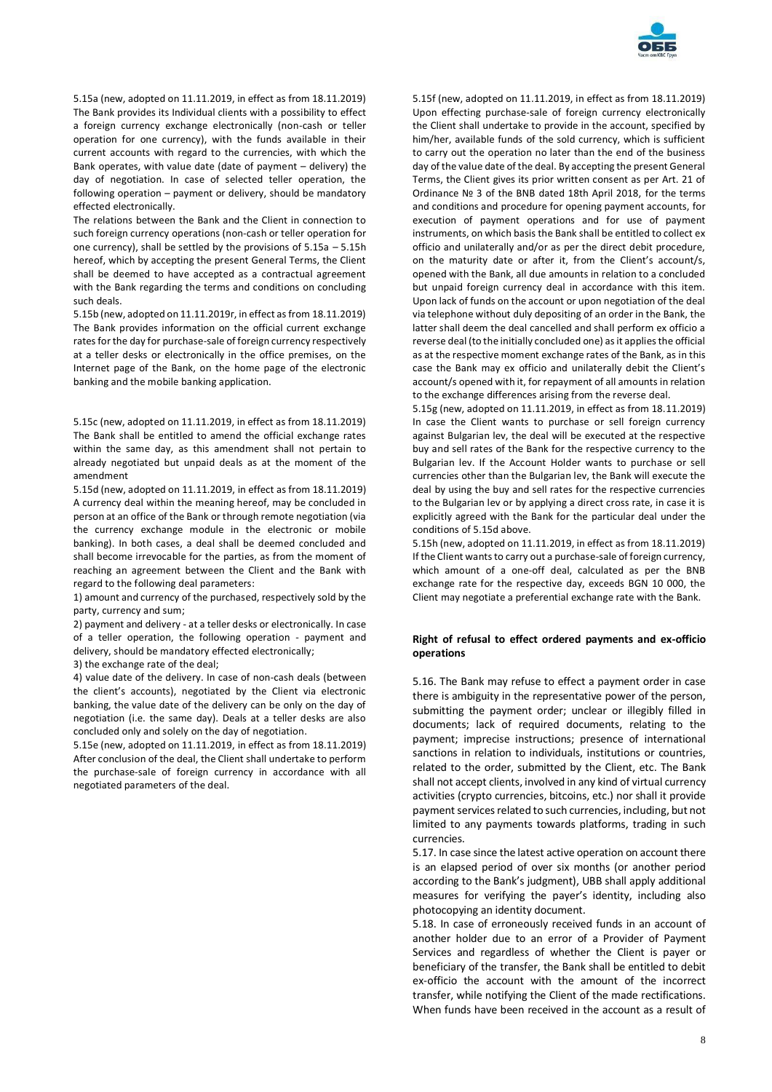

5.15a (new, adopted on 11.11.2019, in effect as from 18.11.2019) The Bank provides its Individual clients with a possibility to effect a foreign currency exchange electronically (non-cash or teller operation for one currency), with the funds available in their current accounts with regard to the currencies, with which the Bank operates, with value date (date of payment – delivery) the day of negotiation. In case of selected teller operation, the following operation – payment or delivery, should be mandatory effected electronically.

The relations between the Bank and the Client in connection to such foreign currency operations (non-cash or teller operation for one currency), shall be settled by the provisions of 5.15a – 5.15h hereof, which by accepting the present General Terms, the Client shall be deemed to have accepted as a contractual agreement with the Bank regarding the terms and conditions on concluding such deals.

5.15b (new, adopted on 11.11.2019г, in effect as from 18.11.2019) The Bank provides information on the official current exchange rates for the day for purchase-sale of foreign currency respectively at a teller desks or electronically in the office premises, on the Internet page of the Bank, on the home page of the electronic banking and the mobile banking application.

5.15c (new, adopted on 11.11.2019, in effect as from 18.11.2019) The Bank shall be entitled to amend the official exchange rates within the same day, as this amendment shall not pertain to already negotiated but unpaid deals as at the moment of the amendment

5.15d (new, adopted on 11.11.2019, in effect as from 18.11.2019) A currency deal within the meaning hereof, may be concluded in person at an office of the Bank or through remote negotiation (via the currency exchange module in the electronic or mobile banking). In both cases, a deal shall be deemed concluded and shall become irrevocable for the parties, as from the moment of reaching an agreement between the Client and the Bank with regard to the following deal parameters:

1) amount and currency of the purchased, respectively sold by the party, currency and sum;

2) payment and delivery - at a teller desks or electronically. In case of a teller operation, the following operation - payment and delivery, should be mandatory effected electronically;

3) the exchange rate of the deal;

4) value date of the delivery. In case of non-cash deals (between the client's accounts), negotiated by the Client via electronic banking, the value date of the delivery can be only on the day of negotiation (i.e. the same day). Deals at a teller desks are also concluded only and solely on the day of negotiation.

5.15e (new, adopted on 11.11.2019, in effect as from 18.11.2019) After conclusion of the deal, the Client shall undertake to perform the purchase-sale of foreign currency in accordance with all negotiated parameters of the deal.

5.15f (new, adopted on 11.11.2019, in effect as from 18.11.2019) Upon effecting purchase-sale of foreign currency electronically the Client shall undertake to provide in the account, specified by him/her, available funds of the sold currency, which is sufficient to carry out the operation no later than the end of the business day of the value date of the deal. By accepting the present General Terms, the Client gives its prior written consent as per Art. 21 of Ordinance № 3 of the BNB dated 18th April 2018, for the terms and conditions and procedure for opening payment accounts, for execution of payment operations and for use of payment instruments, on which basis the Bank shall be entitled to collect ex officio and unilaterally and/or as per the direct debit procedure, on the maturity date or after it, from the Client's account/s, opened with the Bank, all due amounts in relation to a concluded but unpaid foreign currency deal in accordance with this item. Upon lack of funds on the account or upon negotiation of the deal via telephone without duly depositing of an order in the Bank, the latter shall deem the deal cancelled and shall perform ex officio a reverse deal (to the initially concluded one) as it applies the official as at the respective moment exchange rates of the Bank, as in this case the Bank may ex officio and unilaterally debit the Client's account/s opened with it, for repayment of all amounts in relation to the exchange differences arising from the reverse deal.

5.15g (new, adopted on 11.11.2019, in effect as from 18.11.2019) In case the Client wants to purchase or sell foreign currency against Bulgarian lev, the deal will be executed at the respective buy and sell rates of the Bank for the respective currency to the Bulgarian lev. If the Account Holder wants to purchase or sell currencies other than the Bulgarian lev, the Bank will execute the deal by using the buy and sell rates for the respective currencies to the Bulgarian lev or by applying a direct cross rate, in case it is explicitly agreed with the Bank for the particular deal under the conditions of 5.15d above.

5.15h (new, adopted on 11.11.2019, in effect as from 18.11.2019) If the Client wants to carry out a purchase-sale of foreign currency, which amount of a one-off deal, calculated as per the BNB exchange rate for the respective day, exceeds BGN 10 000, the Client may negotiate a preferential exchange rate with the Bank.

#### **Right of refusal to effect ordered payments and ex-officio operations**

5.16. The Bank may refuse to effect a payment order in case there is ambiguity in the representative power of the person, submitting the payment order; unclear or illegibly filled in documents; lack of required documents, relating to the payment; imprecise instructions; presence of international sanctions in relation to individuals, institutions or countries, related to the order, submitted by the Client, etc. The Bank shall not accept clients, involved in any kind of virtual currency activities (crypto currencies, bitcoins, etc.) nor shall it provide payment services related to such currencies, including, but not limited to any payments towards platforms, trading in such currencies.

5.17. In case since the latest active operation on account there is an elapsed period of over six months (or another period according to the Bank's judgment), UBB shall apply additional measures for verifying the payer's identity, including also photocopying an identity document.

5.18. In case of erroneously received funds in an account of another holder due to an error of a Provider of Payment Services and regardless of whether the Client is payer or beneficiary of the transfer, the Bank shall be entitled to debit ex-officio the account with the amount of the incorrect transfer, while notifying the Client of the made rectifications. When funds have been received in the account as a result of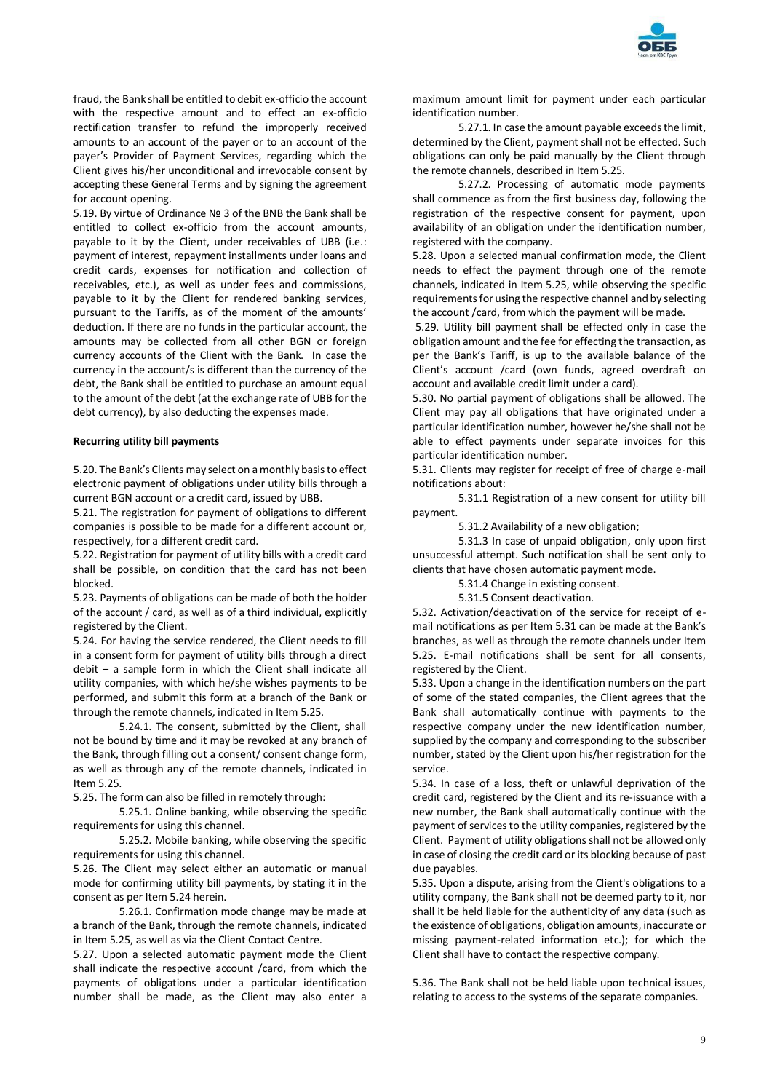

fraud, the Bank shall be entitled to debit ex-officio the account with the respective amount and to effect an ex-officio rectification transfer to refund the improperly received amounts to an account of the payer or to an account of the payer's Provider of Payment Services, regarding which the Client gives his/her unconditional and irrevocable consent by accepting these General Terms and by signing the agreement for account opening.

5.19. By virtue of Ordinance № 3 of the BNB the Bank shall be entitled to collect ex-officio from the account amounts, payable to it by the Client, under receivables of UBB (i.e.: payment of interest, repayment installments under loans and credit cards, expenses for notification and collection of receivables, etc.), as well as under fees and commissions, payable to it by the Client for rendered banking services, pursuant to the Tariffs, as of the moment of the amounts' deduction. If there are no funds in the particular account, the amounts may be collected from all other BGN or foreign currency accounts of the Client with the Bank. In case the currency in the account/s is different than the currency of the debt, the Bank shall be entitled to purchase an amount equal to the amount of the debt (at the exchange rate of UBB for the debt currency), by also deducting the expenses made.

#### **Recurring utility bill payments**

5.20. The Bank's Clients may select on a monthly basis to effect electronic payment of obligations under utility bills through a current BGN account or a credit card, issued by UBB.

5.21. The registration for payment of obligations to different companies is possible to be made for a different account or, respectively, for a different credit card.

5.22. Registration for payment of utility bills with a credit card shall be possible, on condition that the card has not been blocked.

5.23. Payments of obligations can be made of both the holder of the account / card, as well as of a third individual, explicitly registered by the Client.

5.24. For having the service rendered, the Client needs to fill in a consent form for payment of utility bills through a direct debit – a sample form in which the Client shall indicate all utility companies, with which he/she wishes payments to be performed, and submit this form at a branch of the Bank or through the remote channels, indicated in Item 5.25.

5.24.1. The consent, submitted by the Client, shall not be bound by time and it may be revoked at any branch of the Bank, through filling out a consent/ consent change form, as well as through any of the remote channels, indicated in Item 5.25.

5.25. The form can also be filled in remotely through:

5.25.1. Online banking, while observing the specific requirements for using this channel.

5.25.2. Mobile banking, while observing the specific requirements for using this channel.

5.26. The Client may select either an automatic or manual mode for confirming utility bill payments, by stating it in the consent as per Item 5.24 herein.

5.26.1. Confirmation mode change may be made at a branch of the Bank, through the remote channels, indicated in Item 5.25, as well as via the Client Contact Centre.

5.27. Upon a selected automatic payment mode the Client shall indicate the respective account /card, from which the payments of obligations under a particular identification number shall be made, as the Client may also enter a

maximum amount limit for payment under each particular identification number.

5.27.1. In case the amount payable exceeds the limit, determined by the Client, payment shall not be effected. Such obligations can only be paid manually by the Client through the remote channels, described in Item 5.25.

5.27.2. Processing of automatic mode payments shall commence as from the first business day, following the registration of the respective consent for payment, upon availability of an obligation under the identification number, registered with the company.

5.28. Upon a selected manual confirmation mode, the Client needs to effect the payment through one of the remote channels, indicated in Item 5.25, while observing the specific requirements for using the respective channel and by selecting the account /card, from which the payment will be made.

5.29. Utility bill payment shall be effected only in case the obligation amount and the fee for effecting the transaction, as per the Bank's Tariff, is up to the available balance of the Client's account /card (own funds, agreed overdraft on account and available credit limit under a card).

5.30. No partial payment of obligations shall be allowed. The Client may pay all obligations that have originated under a particular identification number, however he/she shall not be able to effect payments under separate invoices for this particular identification number.

5.31. Clients may register for receipt of free of charge e-mail notifications about:

5.31.1 Registration of a new consent for utility bill payment.

5.31.2 Availability of a new obligation;

5.31.3 In case of unpaid obligation, only upon first unsuccessful attempt. Such notification shall be sent only to clients that have chosen automatic payment mode.

5.31.4 Change in existing consent.

5.31.5 Consent deactivation.

5.32. Activation/deactivation of the service for receipt of email notifications as per Item 5.31 can be made at the Bank's branches, as well as through the remote channels under Item 5.25. E-mail notifications shall be sent for all consents, registered by the Client.

5.33. Upon a change in the identification numbers on the part of some of the stated companies, the Client agrees that the Bank shall automatically continue with payments to the respective company under the new identification number, supplied by the company and corresponding to the subscriber number, stated by the Client upon his/her registration for the service.

5.34. In case of a loss, theft or unlawful deprivation of the credit card, registered by the Client and its re-issuance with a new number, the Bank shall automatically continue with the payment of services to the utility companies, registered by the Client. Payment of utility obligations shall not be allowed only in case of closing the credit card or its blocking because of past due payables.

5.35. Upon a dispute, arising from the Client's obligations to a utility company, the Bank shall not be deemed party to it, nor shall it be held liable for the authenticity of any data (such as the existence of obligations, obligation amounts, inaccurate or missing payment-related information etc.); for which the Client shall have to contact the respective company.

5.36. The Bank shall not be held liable upon technical issues, relating to access to the systems of the separate companies.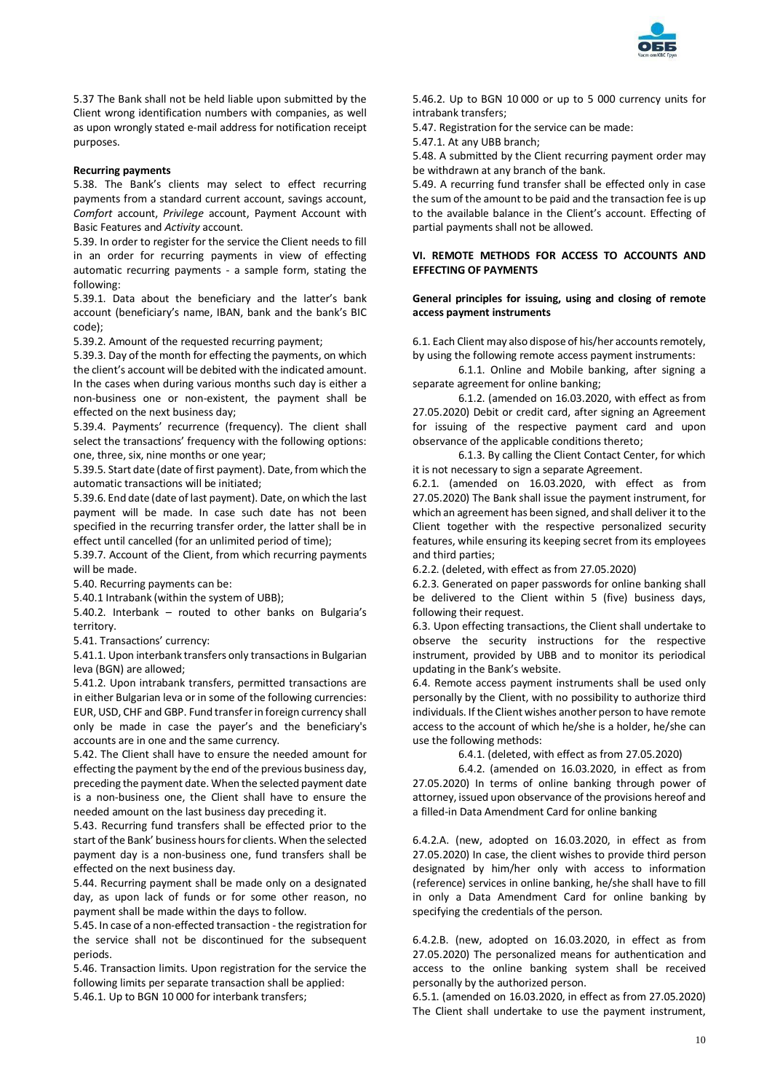

5.37 The Bank shall not be held liable upon submitted by the Client wrong identification numbers with companies, as well as upon wrongly stated e-mail address for notification receipt purposes.

## **Recurring payments**

5.38. The Bank's clients may select to effect recurring payments from a standard current account, savings account, *Comfort* account, *Privilege* account, Payment Account with Basic Features and *Activity* account.

5.39. In order to register for the service the Client needs to fill in an order for recurring payments in view of effecting automatic recurring payments - a sample form, stating the following:

5.39.1. Data about the beneficiary and the latter's bank account (beneficiary's name, IBAN, bank and the bank's BIC code);

5.39.2. Amount of the requested recurring payment;

5.39.3. Day of the month for effecting the payments, on which the client's account will be debited with the indicated amount. In the cases when during various months such day is either a non-business one or non-existent, the payment shall be effected on the next business day;

5.39.4. Payments' recurrence (frequency). The client shall select the transactions' frequency with the following options: one, three, six, nine months or one year;

5.39.5. Start date (date of first payment). Date, from which the automatic transactions will be initiated;

5.39.6. End date (date of last payment). Date, on which the last payment will be made. In case such date has not been specified in the recurring transfer order, the latter shall be in effect until cancelled (for an unlimited period of time);

5.39.7. Account of the Client, from which recurring payments will be made.

5.40. Recurring payments can be:

5.40.1 Intrabank (within the system of UBB);

5.40.2. Interbank – routed to other banks on Bulgaria's territory.

5.41. Transactions' currency:

5.41.1. Upon interbank transfers only transactions in Bulgarian leva (BGN) are allowed;

5.41.2. Upon intrabank transfers, permitted transactions are in either Bulgarian leva or in some of the following currencies: EUR, USD, CHF and GBP. Fund transfer in foreign currency shall only be made in case the payer's and the beneficiary's accounts are in one and the same currency.

5.42. The Client shall have to ensure the needed amount for effecting the payment by the end of the previous business day, preceding the payment date. When the selected payment date is a non-business one, the Client shall have to ensure the needed amount on the last business day preceding it.

5.43. Recurring fund transfers shall be effected prior to the start of the Bank' business hours for clients. When the selected payment day is a non-business one, fund transfers shall be effected on the next business day.

5.44. Recurring payment shall be made only on a designated day, as upon lack of funds or for some other reason, no payment shall be made within the days to follow.

5.45. In case of a non-effected transaction - the registration for the service shall not be discontinued for the subsequent periods.

5.46. Transaction limits. Upon registration for the service the following limits per separate transaction shall be applied: 5.46.1. Up to BGN 10 000 for interbank transfers;

5.46.2. Up to BGN 10 000 or up to 5 000 currency units for intrabank transfers;

5.47. Registration for the service can be made:

5.47.1. At any UBB branch;

5.48. A submitted by the Client recurring payment order may be withdrawn at any branch of the bank.

5.49. A recurring fund transfer shall be effected only in case the sum of the amount to be paid and the transaction fee is up to the available balance in the Client's account. Effecting of partial payments shall not be allowed.

# **VI. REMOTE METHODS FOR ACCESS TO ACCOUNTS AND EFFECTING OF PAYMENTS**

## **General principles for issuing, using and closing of remote access payment instruments**

6.1. Each Client may also dispose of his/her accounts remotely, by using the following remote access payment instruments:

6.1.1. Online and Mobile banking, after signing a separate agreement for online banking;

6.1.2. (amended on 16.03.2020, with effect as from 27.05.2020) Debit or credit card, after signing an Agreement for issuing of the respective payment card and upon observance of the applicable conditions thereto;

6.1.3. By calling the Client Contact Center, for which it is not necessary to sign a separate Agreement.

6.2.1. (amended on 16.03.2020, with effect as from 27.05.2020) The Bank shall issue the payment instrument, for which an agreement has been signed, and shall deliver it to the Client together with the respective personalized security features, while ensuring its keeping secret from its employees and third parties;

6.2.2. (deleted, with effect as from 27.05.2020)

6.2.3. Generated on paper passwords for online banking shall be delivered to the Client within 5 (five) business days, following their request.

6.3. Upon effecting transactions, the Client shall undertake to observe the security instructions for the respective instrument, provided by UBB and to monitor its periodical updating in the Bank's website.

6.4. Remote access payment instruments shall be used only personally by the Client, with no possibility to authorize third individuals. If the Client wishes another person to have remote access to the account of which he/she is a holder, he/she can use the following methods:

6.4.1. (deleted, with effect as from 27.05.2020)

6.4.2. (amended on 16.03.2020, in effect as from 27.05.2020) In terms of online banking through power of attorney, issued upon observance of the provisions hereof and a filled-in Data Amendment Card for online banking

6.4.2.A. (new, adopted on 16.03.2020, in effect as from 27.05.2020) In case, the client wishes to provide third person designated by him/her only with access to information (reference) services in online banking, he/she shall have to fill in only a Data Amendment Card for online banking by specifying the credentials of the person.

6.4.2.B. (new, adopted on 16.03.2020, in effect as from 27.05.2020) The personalized means for authentication and access to the online banking system shall be received personally by the authorized person.

6.5.1. (amended on 16.03.2020, in effect as from 27.05.2020) The Client shall undertake to use the payment instrument,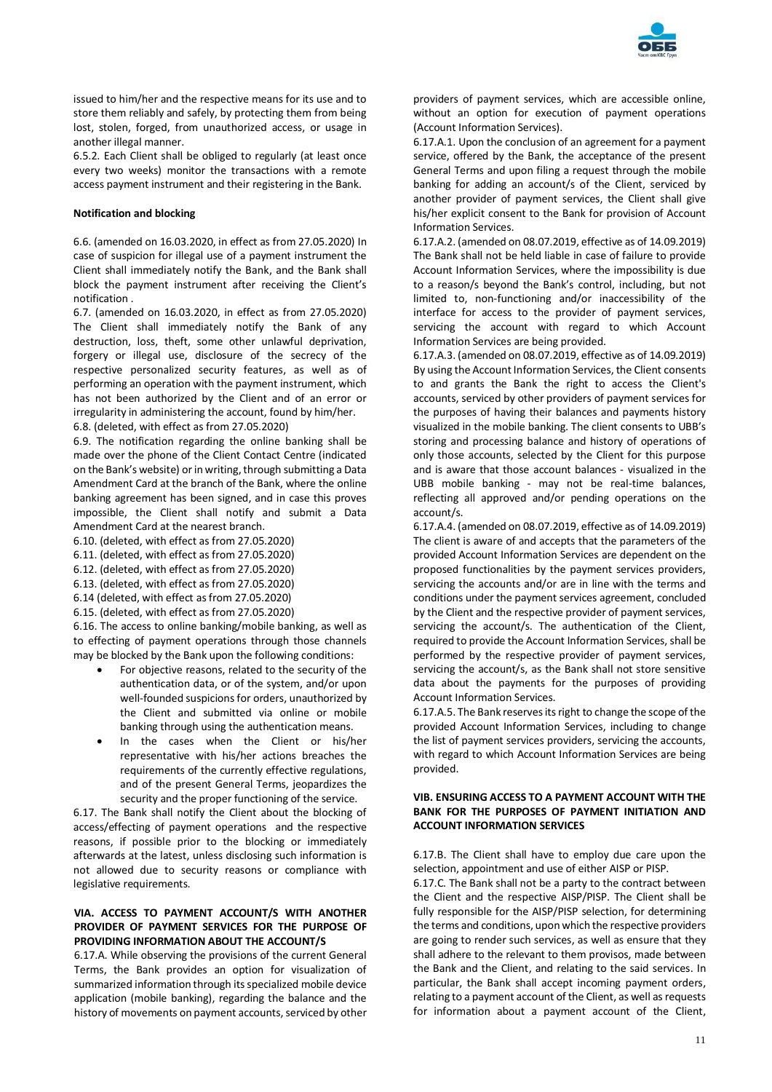

issued to him/her and the respective means for its use and to store them reliably and safely, by protecting them from being lost, stolen, forged, from unauthorized access, or usage in another illegal manner.

6.5.2. Each Client shall be obliged to regularly (at least once every two weeks) monitor the transactions with a remote access payment instrument and their registering in the Bank.

## **Notification and blocking**

6.6. (amended on 16.03.2020, in effect as from 27.05.2020) In case of suspicion for illegal use of a payment instrument the Client shall immediately notify the Bank, and the Bank shall block the payment instrument after receiving the Client's notification .

6.7. (amended on 16.03.2020, in effect as from 27.05.2020) The Client shall immediately notify the Bank of any destruction, loss, theft, some other unlawful deprivation, forgery or illegal use, disclosure of the secrecy of the respective personalized security features, as well as of performing an operation with the payment instrument, which has not been authorized by the Client and of an error or irregularity in administering the account, found by him/her. 6.8. (deleted, with effect as from 27.05.2020)

6.9. The notification regarding the online banking shall be made over the phone of the Client Contact Centre (indicated on the Bank's website) or in writing, through submitting a Data Amendment Card at the branch of the Bank, where the online banking agreement has been signed, and in case this proves impossible, the Client shall notify and submit a Data Amendment Card at the nearest branch.

6.10. (deleted, with effect as from 27.05.2020)

- 6.11. (deleted, with effect as from 27.05.2020)
- 6.12. (deleted, with effect as from 27.05.2020)
- 6.13. (deleted, with effect as from 27.05.2020)
- 6.14 (deleted, with effect as from 27.05.2020)
- 6.15. (deleted, with effect as from 27.05.2020)

6.16. The access to online banking/mobile banking, as well as to effecting of payment operations through those channels may be blocked by the Bank upon the following conditions:

- For objective reasons, related to the security of the authentication data, or of the system, and/or upon well-founded suspicions for orders, unauthorized by the Client and submitted via online or mobile banking through using the authentication means.
- In the cases when the Client or his/her representative with his/her actions breaches the requirements of the currently effective regulations, and of the present General Terms, jeopardizes the security and the proper functioning of the service.

6.17. The Bank shall notify the Client about the blocking of access/effecting of payment operations and the respective reasons, if possible prior to the blocking or immediately afterwards at the latest, unless disclosing such information is not allowed due to security reasons or compliance with legislative requirements.

# **VIA. ACCESS TO PAYMENT ACCOUNT/S WITH ANOTHER PROVIDER OF PAYMENT SERVICES FOR THE PURPOSE OF PROVIDING INFORMATION ABOUT THE ACCOUNT/S**

6.17.A. While observing the provisions of the current General Terms, the Bank provides an option for visualization of summarized information through its specialized mobile device application (mobile banking), regarding the balance and the history of movements on payment accounts, serviced by other

providers of payment services, which are accessible online, without an option for execution of payment operations (Account Information Services).

6.17.A.1. Upon the conclusion of an agreement for a payment service, offered by the Bank, the acceptance of the present General Terms and upon filing a request through the mobile banking for adding an account/s of the Client, serviced by another provider of payment services, the Client shall give his/her explicit consent to the Bank for provision of Account Information Services.

6.17.А.2. (amended on 08.07.2019, effective as of 14.09.2019) The Bank shall not be held liable in case of failure to provide Account Information Services, where the impossibility is due to a reason/s beyond the Bank's control, including, but not limited to, non-functioning and/or inaccessibility of the interface for access to the provider of payment services, servicing the account with regard to which Account Information Services are being provided.

6.17.A.3. (amended on 08.07.2019, effective as of 14.09.2019) By using the Account Information Services, the Client consents to and grants the Bank the right to access the Client's accounts, serviced by other providers of payment services for the purposes of having their balances and payments history visualized in the mobile banking. The client consents to UBB's storing and processing balance and history of operations of only those accounts, selected by the Client for this purpose and is aware that those account balances - visualized in the UBB mobile banking - may not be real-time balances, reflecting all approved and/or pending operations on the account/s.

6.17.A.4. (amended on 08.07.2019, effective as of 14.09.2019) The client is aware of and accepts that the parameters of the provided Account Information Services are dependent on the proposed functionalities by the payment services providers, servicing the accounts and/or are in line with the terms and conditions under the payment services agreement, concluded by the Client and the respective provider of payment services, servicing the account/s. The authentication of the Client, required to provide the Account Information Services, shall be performed by the respective provider of payment services, servicing the account/s, as the Bank shall not store sensitive data about the payments for the purposes of providing Account Information Services.

6.17.A.5. The Bank reserves its right to change the scope of the provided Account Information Services, including to change the list of payment services providers, servicing the accounts, with regard to which Account Information Services are being provided.

# **VIB. ENSURING ACCESS TO A PAYMENT ACCOUNT WITH THE BANK FOR THE PURPOSES OF PAYMENT INITIATION AND ACCOUNT INFORMATION SERVICES**

6.17.B. The Client shall have to employ due care upon the selection, appointment and use of either AISP or PISP.

6.17.C. The Bank shall not be a party to the contract between the Client and the respective AISP/PISP. The Client shall be fully responsible for the AISP/PISP selection, for determining the terms and conditions, upon which the respective providers are going to render such services, as well as ensure that they shall adhere to the relevant to them provisos, made between the Bank and the Client, and relating to the said services. In particular, the Bank shall accept incoming payment orders, relating to a payment account of the Client, as well as requests for information about a payment account of the Client,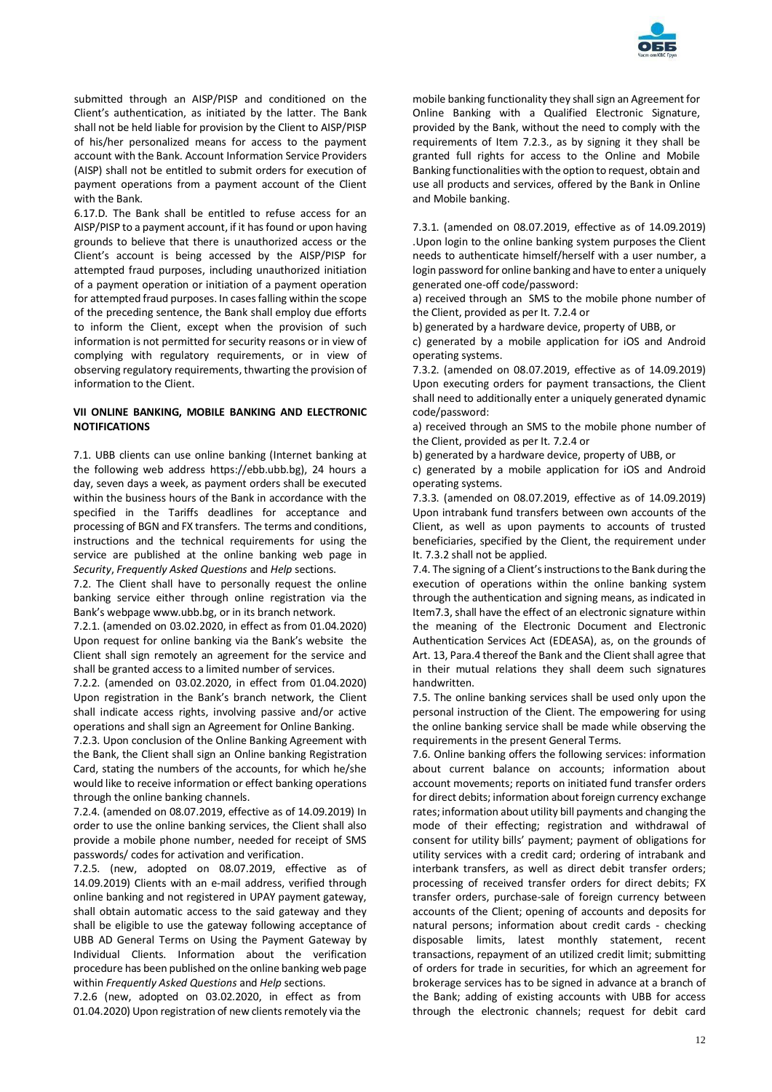

submitted through an AISP/PISP and conditioned on the Client's authentication, as initiated by the latter. The Bank shall not be held liable for provision by the Client to AISP/PISP of his/her personalized means for access to the payment account with the Bank. Account Information Service Providers (AISP) shall not be entitled to submit orders for execution of payment operations from a payment account of the Client with the Bank.

6.17.D. The Bank shall be entitled to refuse access for an AISP/PISP to a payment account, if it has found or upon having grounds to believe that there is unauthorized access or the Client's account is being accessed by the AISP/PISP for attempted fraud purposes, including unauthorized initiation of a payment operation or initiation of a payment operation for attempted fraud purposes. In cases falling within the scope of the preceding sentence, the Bank shall employ due efforts to inform the Client, except when the provision of such information is not permitted for security reasons or in view of complying with regulatory requirements, or in view of observing regulatory requirements, thwarting the provision of information to the Client.

# **VII ONLINE BANKING, MOBILE BANKING AND ELECTRONIC NOTIFICATIONS**

7.1. UBB clients can use online banking (Internet banking at the following web address https://ebb.ubb.bg), 24 hours a day, seven days a week, as payment orders shall be executed within the business hours of the Bank in accordance with the specified in the Tariffs deadlines for acceptance and processing of BGN and FX transfers. The terms and conditions, instructions and the technical requirements for using the service are published at the online banking web page in *Security*, *Frequently Asked Questions* and *Help* sections.

7.2. The Client shall have to personally request the online banking service either through online registration via the Bank's webpage www.ubb.bg, or in its branch network.

7.2.1. (amended on 03.02.2020, in effect as from 01.04.2020) Upon request for online banking via the Bank's website the Client shall sign remotely an agreement for the service and shall be granted access to a limited number of services.

7.2.2. (amended on 03.02.2020, in effect from 01.04.2020) Upon registration in the Bank's branch network, the Client shall indicate access rights, involving passive and/or active operations and shall sign an Agreement for Online Banking.

7.2.3. Upon conclusion of the Online Banking Agreement with the Bank, the Client shall sign an Online banking Registration Card, stating the numbers of the accounts, for which he/she would like to receive information or effect banking operations through the online banking channels.

7.2.4. (amended on 08.07.2019, effective as of 14.09.2019) In order to use the online banking services, the Client shall also provide a mobile phone number, needed for receipt of SMS passwords/ codes for activation and verification.

7.2.5. (new, adopted on 08.07.2019, effective as of 14.09.2019) Clients with an e-mail address, verified through online banking and not registered in UPAY payment gateway, shall obtain automatic access to the said gateway and they shall be eligible to use the gateway following acceptance of UBB AD General Terms on Using the Payment Gateway by Individual Clients. Information about the verification procedure has been published on the online banking web page within *Frequently Asked Questions* and *Help* sections.

7.2.6 (new, adopted on 03.02.2020, in effect as from 01.04.2020) Upon registration of new clients remotely via the mobile banking functionality they shall sign an Agreement for Online Banking with a Qualified Electronic Signature, provided by the Bank, without the need to comply with the requirements of Item 7.2.3., as by signing it they shall be granted full rights for access to the Online and Mobile Banking functionalities with the option to request, obtain and use all products and services, offered by the Bank in Online and Mobile banking.

7.3.1. (amended on 08.07.2019, effective as of 14.09.2019) .Upon login to the online banking system purposes the Client needs to authenticate himself/herself with a user number, a login password for online banking and have to enter a uniquely generated one-off code/password:

a) received through an SMS to the mobile phone number of the Client, provided as per It. 7.2.4 or

b) generated by a hardware device, property of UBB, or

c) generated by a mobile application for iOS and Android operating systems.

7.3.2. (amended on 08.07.2019, effective as of 14.09.2019) Upon executing orders for payment transactions, the Client shall need to additionally enter a uniquely generated dynamic code/password:

a) received through an SMS to the mobile phone number of the Client, provided as per It. 7.2.4 or

b) generated by a hardware device, property of UBB, or

c) generated by a mobile application for iOS and Android operating systems.

7.3.3. (amended on 08.07.2019, effective as of 14.09.2019) Upon intrabank fund transfers between own accounts of the Client, as well as upon payments to accounts of trusted beneficiaries, specified by the Client, the requirement under It. 7.3.2 shall not be applied.

7.4. The signing of a Client's instructions to the Bank during the execution of operations within the online banking system through the authentication and signing means, as indicated in Item7.3, shall have the effect of an electronic signature within the meaning of the Electronic Document and Electronic Authentication Services Act (EDEASA), as, on the grounds of Art. 13, Para.4 thereof the Bank and the Client shall agree that in their mutual relations they shall deem such signatures handwritten.

7.5. The online banking services shall be used only upon the personal instruction of the Client. The empowering for using the online banking service shall be made while observing the requirements in the present General Terms.

7.6. Online banking offers the following services: information about current balance on accounts; information about account movements; reports on initiated fund transfer orders for direct debits; information about foreign currency exchange rates; information about utility bill payments and changing the mode of their effecting; registration and withdrawal of consent for utility bills' payment; payment of obligations for utility services with a credit card; ordering of intrabank and interbank transfers, as well as direct debit transfer orders; processing of received transfer orders for direct debits; FX transfer orders, purchase-sale of foreign currency between accounts of the Client; opening of accounts and deposits for natural persons; information about credit cards - checking disposable limits, latest monthly statement, recent transactions, repayment of an utilized credit limit; submitting of orders for trade in securities, for which an agreement for brokerage services has to be signed in advance at a branch of the Bank; adding of existing accounts with UBB for access through the electronic channels; request for debit card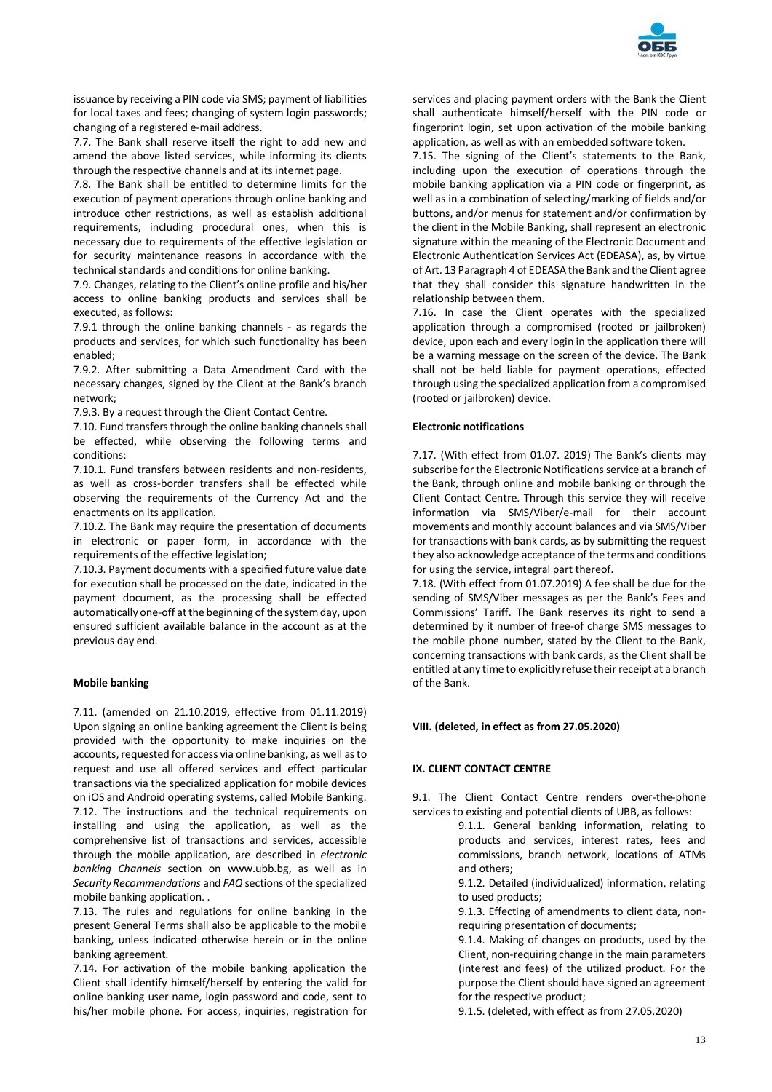

issuance by receiving a PIN code via SMS; payment of liabilities for local taxes and fees; changing of system login passwords; changing of a registered e-mail address.

7.7. The Bank shall reserve itself the right to add new and amend the above listed services, while informing its clients through the respective channels and at its internet page.

7.8. The Bank shall be entitled to determine limits for the execution of payment operations through online banking and introduce other restrictions, as well as establish additional requirements, including procedural ones, when this is necessary due to requirements of the effective legislation or for security maintenance reasons in accordance with the technical standards and conditions for online banking.

7.9. Changes, relating to the Client's online profile and his/her access to online banking products and services shall be executed, as follows:

7.9.1 through the online banking channels - as regards the products and services, for which such functionality has been enabled;

7.9.2. After submitting a Data Amendment Card with the necessary changes, signed by the Client at the Bank's branch network;

7.9.3. By a request through the Client Contact Centre.

7.10. Fund transfers through the online banking channels shall be effected, while observing the following terms and conditions:

7.10.1. Fund transfers between residents and non-residents, as well as cross-border transfers shall be effected while observing the requirements of the Currency Act and the enactments on its application.

7.10.2. The Bank may require the presentation of documents in electronic or paper form, in accordance with the requirements of the effective legislation;

7.10.3. Payment documents with a specified future value date for execution shall be processed on the date, indicated in the payment document, as the processing shall be effected automatically one-off at the beginning of the system day, upon ensured sufficient available balance in the account as at the previous day end.

# **Mobile banking**

7.11. (amended on 21.10.2019, effective from 01.11.2019) Upon signing an online banking agreement the Client is being provided with the opportunity to make inquiries on the accounts, requested for access via online banking, as well as to request and use all offered services and effect particular transactions via the specialized application for mobile devices on iOS and Android operating systems, called Mobile Banking. 7.12. The instructions and the technical requirements on installing and using the application, as well as the comprehensive list of transactions and services, accessible through the mobile application, are described in *electronic banking Channels* section on www.ubb.bg, as well as in *Security Recommendations* and *FAQ* sections of the specialized mobile banking application. .

7.13. The rules and regulations for online banking in the present General Terms shall also be applicable to the mobile banking, unless indicated otherwise herein or in the online banking agreement.

7.14. For activation of the mobile banking application the Client shall identify himself/herself by entering the valid for online banking user name, login password and code, sent to his/her mobile phone. For access, inquiries, registration for

services and placing payment orders with the Bank the Client shall authenticate himself/herself with the PIN code or fingerprint login, set upon activation of the mobile banking application, as well as with an embedded software token.

7.15. The signing of the Client's statements to the Bank, including upon the execution of operations through the mobile banking application via a PIN code or fingerprint, as well as in a combination of selecting/marking of fields and/or buttons, and/or menus for statement and/or confirmation by the client in the Mobile Banking, shall represent an electronic signature within the meaning of the Electronic Document and Electronic Authentication Services Act (EDEASA), as, by virtue of Art. 13 Paragraph 4 of EDEASA the Bank and the Client agree that they shall consider this signature handwritten in the relationship between them.

7.16. In case the Client operates with the specialized application through a compromised (rooted or jailbroken) device, upon each and every login in the application there will be a warning message on the screen of the device. The Bank shall not be held liable for payment operations, effected through using the specialized application from a compromised (rooted or jailbroken) device.

## **Electronic notifications**

7.17. (With effect from 01.07. 2019) The Bank's clients may subscribe for the Electronic Notifications service at a branch of the Bank, through online and mobile banking or through the Client Contact Centre. Through this service they will receive information via SMS/Viber/e-mail for their account movements and monthly account balances and via SMS/Viber for transactions with bank cards, as by submitting the request they also acknowledge acceptance of the terms and conditions for using the service, integral part thereof.

7.18. (With effect from 01.07.2019) A fee shall be due for the sending of SMS/Viber messages as per the Bank's Fees and Commissions' Tariff. The Bank reserves its right to send a determined by it number of free-of charge SMS messages to the mobile phone number, stated by the Client to the Bank, concerning transactions with bank cards, as the Client shall be entitled at any time to explicitly refuse their receipt at a branch of the Bank.

#### **VIII. (deleted, in effect as from 27.05.2020)**

# **IX. CLIENT CONTACT CENTRE**

9.1. The Client Contact Centre renders over-the-phone services to existing and potential clients of UBB, as follows:

- 9.1.1. General banking information, relating to products and services, interest rates, fees and commissions, branch network, locations of ATMs and others;
	- 9.1.2. Detailed (individualized) information, relating to used products;
	- 9.1.3. Effecting of amendments to client data, nonrequiring presentation of documents;
	- 9.1.4. Making of changes on products, used by the Client, non-requiring change in the main parameters (interest and fees) of the utilized product. For the purpose the Client should have signed an agreement for the respective product;

9.1.5. (deleted, with effect as from 27.05.2020)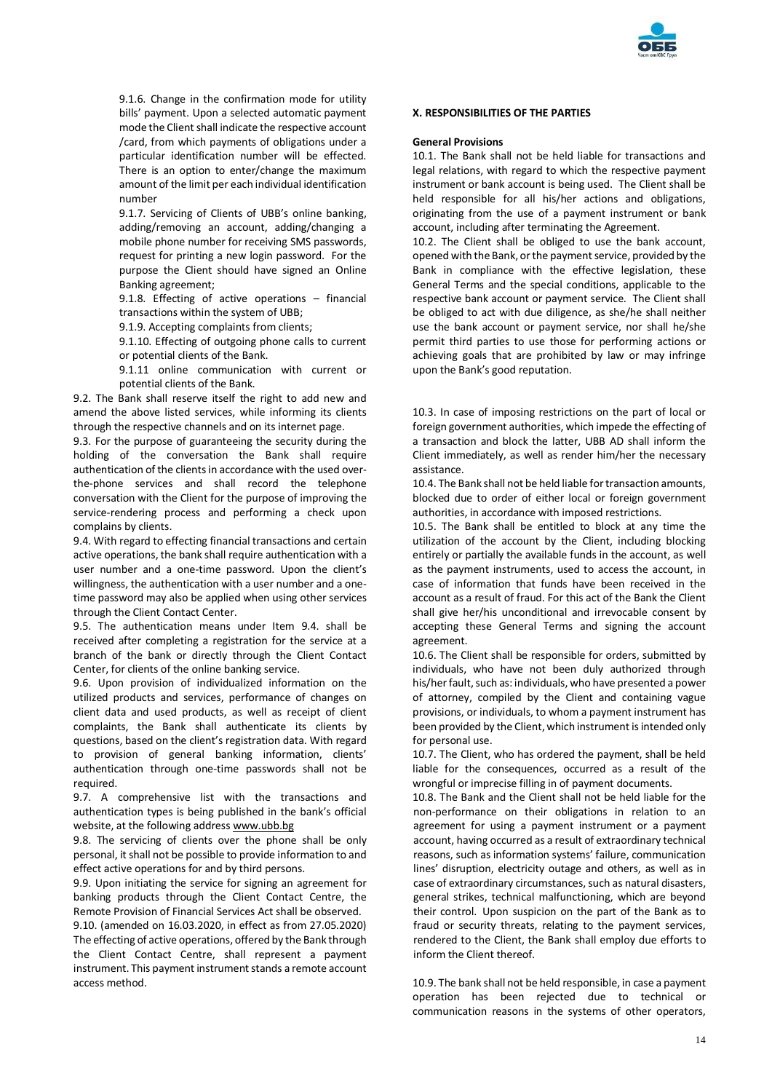

9.1.6. Change in the confirmation mode for utility bills' payment. Upon a selected automatic payment mode the Client shall indicate the respective account /card, from which payments of obligations under a particular identification number will be effected. There is an option to enter/change the maximum amount of the limit per each individual identification number

9.1.7. Servicing of Clients of UBB's online banking, adding/removing an account, adding/changing a mobile phone number for receiving SMS passwords, request for printing a new login password. For the purpose the Client should have signed an Online Banking agreement;

9.1.8. Effecting of active operations – financial transactions within the system of UBB;

9.1.9. Accepting complaints from clients;

9.1.10. Effecting of outgoing phone calls to current or potential clients of the Bank.

9.1.11 online communication with current or potential clients of the Bank.

9.2. The Bank shall reserve itself the right to add new and amend the above listed services, while informing its clients through the respective channels and on its internet page.

9.3. For the purpose of guaranteeing the security during the holding of the conversation the Bank shall require authentication of the clients in accordance with the used overthe-phone services and shall record the telephone conversation with the Client for the purpose of improving the service-rendering process and performing a check upon complains by clients.

9.4. With regard to effecting financial transactions and certain active operations, the bank shall require authentication with a user number and a one-time password. Upon the client's willingness, the authentication with a user number and a onetime password may also be applied when using other services through the Client Contact Center.

9.5. The authentication means under Item 9.4. shall be received after completing a registration for the service at a branch of the bank or directly through the Client Contact Center, for clients of the online banking service.

9.6. Upon provision of individualized information on the utilized products and services, performance of changes on client data and used products, as well as receipt of client complaints, the Bank shall authenticate its clients by questions, based on the client's registration data. With regard to provision of general banking information, clients' authentication through one-time passwords shall not be required.

9.7. A comprehensive list with the transactions and authentication types is being published in the bank's official website, at the following addres[s www.ubb.bg](blocked::http://www.ubb.bg/)

9.8. The servicing of clients over the phone shall be only personal, it shall not be possible to provide information to and effect active operations for and by third persons.

9.9. Upon initiating the service for signing an agreement for banking products through the Client Contact Centre, the Remote Provision of Financial Services Act shall be observed.

9.10. (amended on 16.03.2020, in effect as from 27.05.2020) The effecting of active operations, offered by the Bank through the Client Contact Centre, shall represent a payment instrument. This payment instrument stands a remote account access method.

### **X. RESPONSIBILITIES OF THE PARTIES**

### **General Provisions**

10.1. The Bank shall not be held liable for transactions and legal relations, with regard to which the respective payment instrument or bank account is being used. The Client shall be held responsible for all his/her actions and obligations, originating from the use of a payment instrument or bank account, including after terminating the Agreement.

10.2. The Client shall be obliged to use the bank account, opened with the Bank, or the payment service, provided by the Bank in compliance with the effective legislation, these General Terms and the special conditions, applicable to the respective bank account or payment service. The Client shall be obliged to act with due diligence, as she/he shall neither use the bank account or payment service, nor shall he/she permit third parties to use those for performing actions or achieving goals that are prohibited by law or may infringe upon the Bank's good reputation.

10.3. In case of imposing restrictions on the part of local or foreign government authorities, which impede the effecting of a transaction and block the latter, UBB AD shall inform the Client immediately, as well as render him/her the necessary assistance.

10.4. The Bank shall not be held liable for transaction amounts, blocked due to order of either local or foreign government authorities, in accordance with imposed restrictions.

10.5. The Bank shall be entitled to block at any time the utilization of the account by the Client, including blocking entirely or partially the available funds in the account, as well as the payment instruments, used to access the account, in case of information that funds have been received in the account as a result of fraud. For this act of the Bank the Client shall give her/his unconditional and irrevocable consent by accepting these General Terms and signing the account agreement.

10.6. The Client shall be responsible for orders, submitted by individuals, who have not been duly authorized through his/her fault, such as: individuals, who have presented a power of attorney, compiled by the Client and containing vague provisions, or individuals, to whom a payment instrument has been provided by the Client, which instrument is intended only for personal use.

10.7. The Client, who has ordered the payment, shall be held liable for the consequences, occurred as a result of the wrongful or imprecise filling in of payment documents.

10.8. The Bank and the Client shall not be held liable for the non-performance on their obligations in relation to an agreement for using a payment instrument or a payment account, having occurred as a result of extraordinary technical reasons, such as information systems' failure, communication lines' disruption, electricity outage and others, as well as in case of extraordinary circumstances, such as natural disasters, general strikes, technical malfunctioning, which are beyond their control. Upon suspicion on the part of the Bank as to fraud or security threats, relating to the payment services, rendered to the Client, the Bank shall employ due efforts to inform the Client thereof.

10.9. The bank shall not be held responsible, in case a payment operation has been rejected due to technical or communication reasons in the systems of other operators,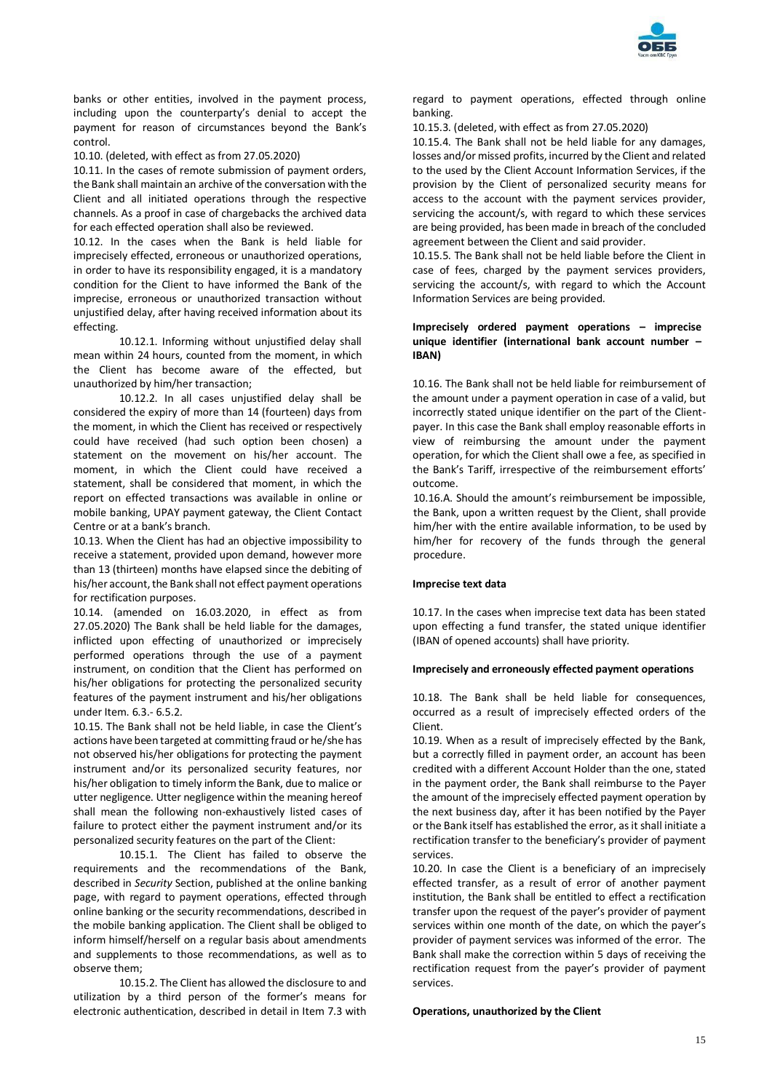

banks or other entities, involved in the payment process, including upon the counterparty's denial to accept the payment for reason of circumstances beyond the Bank's control.

10.10. (deleted, with effect as from 27.05.2020)

10.11. In the cases of remote submission of payment orders, the Bank shall maintain an archive of the conversation with the Client and all initiated operations through the respective channels. As a proof in case of chargebacks the archived data for each effected operation shall also be reviewed.

10.12. In the cases when the Bank is held liable for imprecisely effected, erroneous or unauthorized operations, in order to have its responsibility engaged, it is a mandatory condition for the Client to have informed the Bank of the imprecise, erroneous or unauthorized transaction without unjustified delay, after having received information about its effecting.

10.12.1. Informing without unjustified delay shall mean within 24 hours, counted from the moment, in which the Client has become aware of the effected, but unauthorized by him/her transaction;

10.12.2. In all cases unjustified delay shall be considered the expiry of more than 14 (fourteen) days from the moment, in which the Client has received or respectively could have received (had such option been chosen) a statement on the movement on his/her account. The moment, in which the Client could have received a statement, shall be considered that moment, in which the report on effected transactions was available in online or mobile banking, UPAY payment gateway, the Client Contact Centre or at a bank's branch.

10.13. When the Client has had an objective impossibility to receive a statement, provided upon demand, however more than 13 (thirteen) months have elapsed since the debiting of his/her account, the Bank shall not effect payment operations for rectification purposes.

10.14. (amended on 16.03.2020, in effect as from 27.05.2020) The Bank shall be held liable for the damages, inflicted upon effecting of unauthorized or imprecisely performed operations through the use of a payment instrument, on condition that the Client has performed on his/her obligations for protecting the personalized security features of the payment instrument and his/her obligations under Item. 6.3.- 6.5.2.

10.15. The Bank shall not be held liable, in case the Client's actions have been targeted at committing fraud or he/she has not observed his/her obligations for protecting the payment instrument and/or its personalized security features, nor his/her obligation to timely inform the Bank, due to malice or utter negligence. Utter negligence within the meaning hereof shall mean the following non-exhaustively listed cases of failure to protect either the payment instrument and/or its personalized security features on the part of the Client:

10.15.1. The Client has failed to observe the requirements and the recommendations of the Bank, described in *Security* Section, published at the online banking page, with regard to payment operations, effected through online banking or the security recommendations, described in the mobile banking application. The Client shall be obliged to inform himself/herself on a regular basis about amendments and supplements to those recommendations, as well as to observe them;

10.15.2. The Client has allowed the disclosure to and utilization by a third person of the former's means for electronic authentication, described in detail in Item 7.3 with

regard to payment operations, effected through online banking.

10.15.3. (deleted, with effect as from 27.05.2020)

10.15.4. The Bank shall not be held liable for any damages, losses and/or missed profits, incurred by the Client and related to the used by the Client Account Information Services, if the provision by the Client of personalized security means for access to the account with the payment services provider, servicing the account/s, with regard to which these services are being provided, has been made in breach of the concluded agreement between the Client and said provider.

10.15.5. The Bank shall not be held liable before the Client in case of fees, charged by the payment services providers, servicing the account/s, with regard to which the Account Information Services are being provided.

# **Imprecisely ordered payment operations – imprecise unique identifier (international bank account number – IBAN)**

10.16. The Bank shall not be held liable for reimbursement of the amount under a payment operation in case of a valid, but incorrectly stated unique identifier on the part of the Clientpayer. In this case the Bank shall employ reasonable efforts in view of reimbursing the amount under the payment operation, for which the Client shall owe a fee, as specified in the Bank's Tariff, irrespective of the reimbursement efforts' outcome.

10.16.А. Should the amount's reimbursement be impossible, the Bank, upon a written request by the Client, shall provide him/her with the entire available information, to be used by him/her for recovery of the funds through the general procedure.

#### **Imprecise text data**

10.17. In the cases when imprecise text data has been stated upon effecting a fund transfer, the stated unique identifier (IBAN of opened accounts) shall have priority.

#### **Imprecisely and erroneously effected payment operations**

10.18. The Bank shall be held liable for consequences, occurred as a result of imprecisely effected orders of the Client.

10.19. When as a result of imprecisely effected by the Bank, but a correctly filled in payment order, an account has been credited with a different Account Holder than the one, stated in the payment order, the Bank shall reimburse to the Payer the amount of the imprecisely effected payment operation by the next business day, after it has been notified by the Payer or the Bank itself has established the error, as it shall initiate a rectification transfer to the beneficiary's provider of payment services.

10.20. In case the Client is a beneficiary of an imprecisely effected transfer, as a result of error of another payment institution, the Bank shall be entitled to effect a rectification transfer upon the request of the payer's provider of payment services within one month of the date, on which the payer's provider of payment services was informed of the error. The Bank shall make the correction within 5 days of receiving the rectification request from the payer's provider of payment services.

#### **Operations, unauthorized by the Client**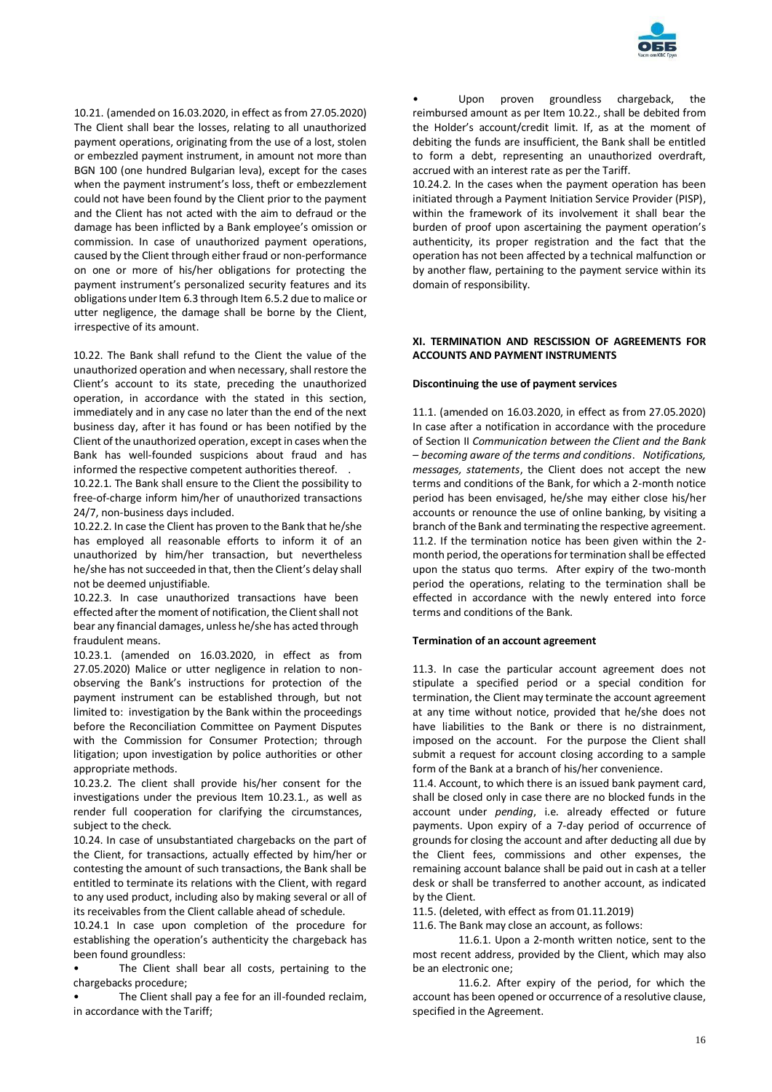

10.21. (amended on 16.03.2020, in effect as from 27.05.2020) The Client shall bear the losses, relating to all unauthorized payment operations, originating from the use of a lost, stolen or embezzled payment instrument, in amount not more than BGN 100 (one hundred Bulgarian leva), except for the cases when the payment instrument's loss, theft or embezzlement could not have been found by the Client prior to the payment and the Client has not acted with the aim to defraud or the damage has been inflicted by a Bank employee's omission or commission. In case of unauthorized payment operations, caused by the Client through either fraud or non-performance on one or more of his/her obligations for protecting the payment instrument's personalized security features and its obligations under Item 6.3 through Item 6.5.2 due to malice or utter negligence, the damage shall be borne by the Client, irrespective of its amount.

10.22. The Bank shall refund to the Client the value of the unauthorized operation and when necessary, shall restore the Client's account to its state, preceding the unauthorized operation, in accordance with the stated in this section, immediately and in any case no later than the end of the next business day, after it has found or has been notified by the Client of the unauthorized operation, except in cases when the Bank has well-founded suspicions about fraud and has informed the respective competent authorities thereof. .

10.22.1. The Bank shall ensure to the Client the possibility to free-of-charge inform him/her of unauthorized transactions 24/7, non-business days included.

10.22.2. In case the Client has proven to the Bank that he/she has employed all reasonable efforts to inform it of an unauthorized by him/her transaction, but nevertheless he/she has not succeeded in that, then the Client's delay shall not be deemed unjustifiable.

10.22.3. In case unauthorized transactions have been effected after the moment of notification, the Client shall not bear any financial damages, unless he/she has acted through fraudulent means.

10.23.1. (amended on 16.03.2020, in effect as from 27.05.2020) Malice or utter negligence in relation to nonobserving the Bank's instructions for protection of the payment instrument can be established through, but not limited to: investigation by the Bank within the proceedings before the Reconciliation Committee on Payment Disputes with the Commission for Consumer Protection; through litigation; upon investigation by police authorities or other appropriate methods.

10.23.2. The client shall provide his/her consent for the investigations under the previous Item 10.23.1., as well as render full cooperation for clarifying the circumstances, subject to the check.

10.24. In case of unsubstantiated chargebacks on the part of the Client, for transactions, actually effected by him/her or contesting the amount of such transactions, the Bank shall be entitled to terminate its relations with the Client, with regard to any used product, including also by making several or all of its receivables from the Client callable ahead of schedule.

10.24.1 In case upon completion of the procedure for establishing the operation's authenticity the chargeback has been found groundless:

The Client shall bear all costs, pertaining to the chargebacks procedure;

The Client shall pay a fee for an ill-founded reclaim, in accordance with the Tariff;

Upon proven groundless chargeback, the reimbursed amount as per Item 10.22., shall be debited from the Holder's account/credit limit. If, as at the moment of debiting the funds are insufficient, the Bank shall be entitled to form a debt, representing an unauthorized overdraft, accrued with an interest rate as per the Tariff.

10.24.2. In the cases when the payment operation has been initiated through a Payment Initiation Service Provider (PISP), within the framework of its involvement it shall bear the burden of proof upon ascertaining the payment operation's authenticity, its proper registration and the fact that the operation has not been affected by a technical malfunction or by another flaw, pertaining to the payment service within its domain of responsibility.

# **XI. TERMINATION AND RESCISSION OF AGREEMENTS FOR ACCOUNTS AND PAYMENT INSTRUMENTS**

# **Discontinuing the use of payment services**

11.1. (amended on 16.03.2020, in effect as from 27.05.2020) In case after a notification in accordance with the procedure of Section II *Communication between the Client and the Bank – becoming aware of the terms and conditions*. *Notifications, messages, statements*, the Client does not accept the new terms and conditions of the Bank, for which a 2-month notice period has been envisaged, he/she may either close his/her accounts or renounce the use of online banking, by visiting a branch of the Bank and terminating the respective agreement. 11.2. If the termination notice has been given within the 2 month period, the operations for termination shall be effected upon the status quo terms. After expiry of the two-month period the operations, relating to the termination shall be effected in accordance with the newly entered into force terms and conditions of the Bank.

#### **Termination of an account agreement**

11.3. In case the particular account agreement does not stipulate a specified period or a special condition for termination, the Client may terminate the account agreement at any time without notice, provided that he/she does not have liabilities to the Bank or there is no distrainment, imposed on the account. For the purpose the Client shall submit a request for account closing according to a sample form of the Bank at a branch of his/her convenience.

11.4. Account, to which there is an issued bank payment card, shall be closed only in case there are no blocked funds in the account under *pending*, i.e. already effected or future payments. Upon expiry of a 7-day period of occurrence of grounds for closing the account and after deducting all due by the Client fees, commissions and other expenses, the remaining account balance shall be paid out in cash at a teller desk or shall be transferred to another account, as indicated by the Client.

11.5. (deleted, with effect as from 01.11.2019)

11.6. The Bank may close an account, as follows:

11.6.1. Upon a 2-month written notice, sent to the most recent address, provided by the Client, which may also be an electronic one;

11.6.2. After expiry of the period, for which the account has been opened or occurrence of a resolutive clause, specified in the Agreement.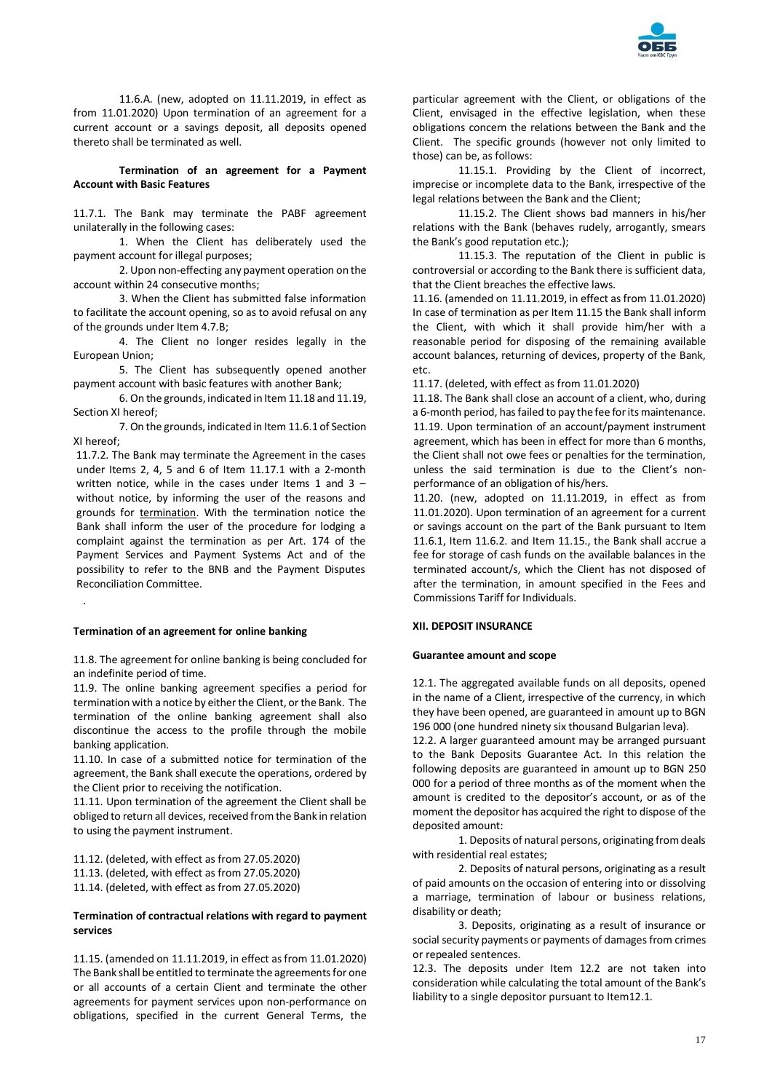

11.6.A. (new, adopted on 11.11.2019, in effect as from 11.01.2020) Upon termination of an agreement for a current account or a savings deposit, all deposits opened thereto shall be terminated as well.

**Termination of an agreement for a Payment Account with Basic Features**

11.7.1. The Bank may terminate the PABF agreement unilaterally in the following cases:

1. When the Client has deliberately used the payment account for illegal purposes;

2. Upon non-effecting any payment operation on the account within 24 consecutive months;

3. When the Client has submitted false information to facilitate the account opening, so as to avoid refusal on any of the grounds under Item 4.7.B;

4. The Client no longer resides legally in the European Union;

5. The Client has subsequently opened another payment account with basic features with another Bank;

6. On the grounds, indicated in Item 11.18 and 11.19, Section XI hereof;

7. On the grounds, indicated in Item 11.6.1 of Section XI hereof;

11.7.2. The Bank may terminate the Agreement in the cases under Items 2, 4, 5 and 6 of Item 11.17.1 with a 2-month written notice, while in the cases under Items 1 and 3  $$ without notice, by informing the user of the reasons and grounds for termination. With the termination notice the Bank shall inform the user of the procedure for lodging a complaint against the termination as per Art. 174 of the Payment Services and Payment Systems Act and of the possibility to refer to the BNB and the Payment Disputes Reconciliation Committee.

# **Termination of an agreement for online banking**

.

11.8. The agreement for online banking is being concluded for an indefinite period of time.

11.9. The online banking agreement specifies a period for termination with a notice by either the Client, or the Bank. The termination of the online banking agreement shall also discontinue the access to the profile through the mobile banking application.

11.10. In case of a submitted notice for termination of the agreement, the Bank shall execute the operations, ordered by the Client prior to receiving the notification.

11.11. Upon termination of the agreement the Client shall be obliged to return all devices, received from the Bank in relation to using the payment instrument.

11.12. (deleted, with effect as from 27.05.2020) 11.13. (deleted, with effect as from 27.05.2020) 11.14. (deleted, with effect as from 27.05.2020)

### **Termination of contractual relations with regard to payment services**

11.15. (amended on 11.11.2019, in effect as from 11.01.2020) The Bank shall be entitled to terminate the agreements for one or all accounts of a certain Client and terminate the other agreements for payment services upon non-performance on obligations, specified in the current General Terms, the

particular agreement with the Client, or obligations of the Client, envisaged in the effective legislation, when these obligations concern the relations between the Bank and the Client. The specific grounds (however not only limited to those) can be, as follows:

11.15.1. Providing by the Client of incorrect, imprecise or incomplete data to the Bank, irrespective of the legal relations between the Bank and the Client;

11.15.2. The Client shows bad manners in his/her relations with the Bank (behaves rudely, arrogantly, smears the Bank's good reputation etc.);

11.15.3. The reputation of the Client in public is controversial or according to the Bank there is sufficient data, that the Client breaches the effective laws.

11.16. (amended on 11.11.2019, in effect as from 11.01.2020) In case of termination as per Item 11.15 the Bank shall inform the Client, with which it shall provide him/her with a reasonable period for disposing of the remaining available account balances, returning of devices, property of the Bank, etc.

11.17. (deleted, with effect as from 11.01.2020)

11.18. The Bank shall close an account of a client, who, during a 6-month period, has failed to pay the fee for its maintenance. 11.19. Upon termination of an account/payment instrument agreement, which has been in effect for more than 6 months, the Client shall not owe fees or penalties for the termination, unless the said termination is due to the Client's nonperformance of an obligation of his/hers.

11.20. (new, adopted on 11.11.2019, in effect as from 11.01.2020). Upon termination of an agreement for a current or savings account on the part of the Bank pursuant to Item 11.6.1, Item 11.6.2. and Item 11.15., the Bank shall accrue a fee for storage of cash funds on the available balances in the terminated account/s, which the Client has not disposed of after the termination, in amount specified in the Fees and Commissions Tariff for Individuals.

#### **XII. DEPOSIT INSURANCE**

#### **Guarantee amount and scope**

12.1. The aggregated available funds on all deposits, opened in the name of a Client, irrespective of the currency, in which they have been opened, are guaranteed in amount up to BGN 196 000 (one hundred ninety six thousand Bulgarian leva).

12.2. A larger guaranteed amount may be arranged pursuant to the Bank Deposits Guarantee Act. In this relation the following deposits are guaranteed in amount up to BGN 250 000 for a period of three months as of the moment when the amount is credited to the depositor's account, or as of the moment the depositor has acquired the right to dispose of the deposited amount:

1. Deposits of natural persons, originating from deals with residential real estates;

2. Deposits of natural persons, originating as a result of paid amounts on the occasion of entering into or dissolving a marriage, termination of labour or business relations, disability or death;

3. Deposits, originating as a result of insurance or social security payments or payments of damages from crimes or repealed sentences.

12.3. The deposits under Item 12.2 are not taken into consideration while calculating the total amount of the Bank's liability to a single depositor pursuant to Item12.1.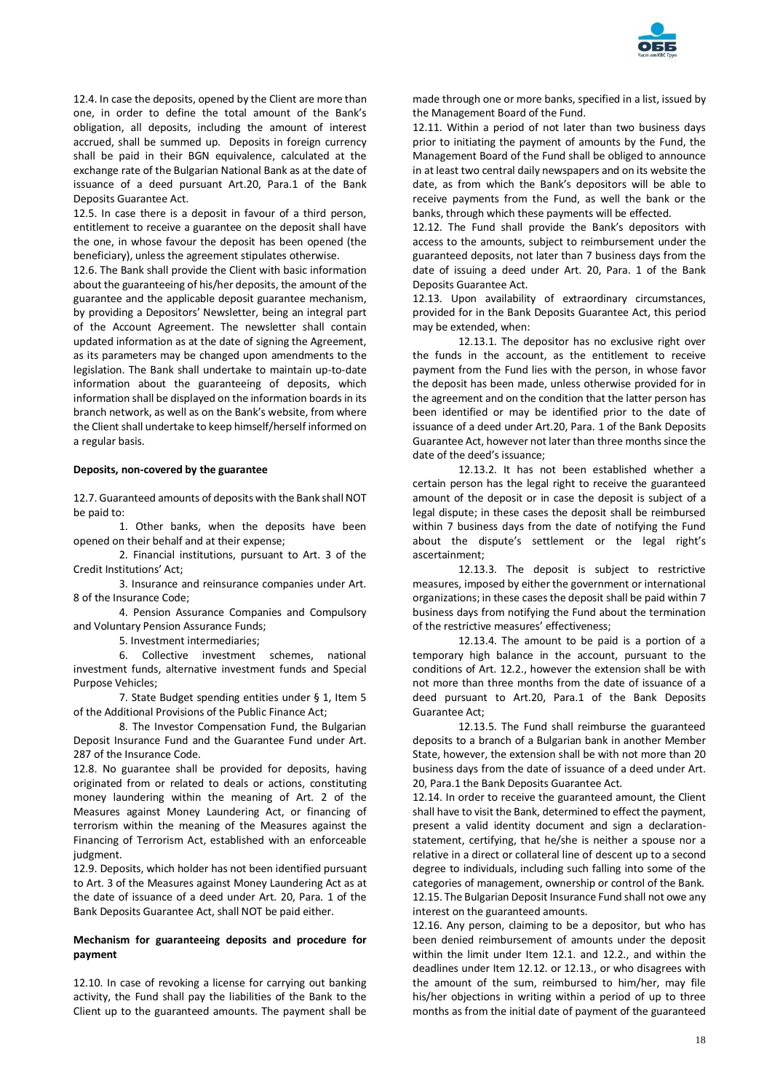

12.4. In case the deposits, opened by the Client are more than one, in order to define the total amount of the Bank's obligation, all deposits, including the amount of interest accrued, shall be summed up. Deposits in foreign currency shall be paid in their BGN equivalence, calculated at the exchange rate of the Bulgarian National Bank as at the date of issuance of a deed pursuant Art.20, Para.1 of the Bank Deposits Guarantee Act.

12.5. In case there is a deposit in favour of a third person, entitlement to receive a guarantee on the deposit shall have the one, in whose favour the deposit has been opened (the beneficiary), unless the agreement stipulates otherwise.

12.6. The Bank shall provide the Client with basic information about the guaranteeing of his/her deposits, the amount of the guarantee and the applicable deposit guarantee mechanism, by providing a Depositors' Newsletter, being an integral part of the Account Agreement. The newsletter shall contain updated information as at the date of signing the Agreement, as its parameters may be changed upon amendments to the legislation. The Bank shall undertake to maintain up-to-date information about the guaranteeing of deposits, which information shall be displayed on the information boards in its branch network, as well as on the Bank's website, from where the Client shall undertake to keep himself/herself informed on a regular basis.

#### **Deposits, non-covered by the guarantee**

12.7. Guaranteed amounts of deposits with the Bank shall NOT be paid to:

1. Other banks, when the deposits have been opened on their behalf and at their expense;

2. Financial institutions, pursuant to Art. 3 of the Credit Institutions' Act;

3. Insurance and reinsurance companies under Art. 8 of the Insurance Code;

4. Pension Assurance Companies and Compulsory and Voluntary Pension Assurance Funds;

5. Investment intermediaries;

6. Collective investment schemes, national investment funds, alternative investment funds and Special Purpose Vehicles;

7. State Budget spending entities under § 1, Item 5 of the Additional Provisions of the Public Finance Act;

8. The Investor Compensation Fund, the Bulgarian Deposit Insurance Fund and the Guarantee Fund under Art. 287 of the Insurance Code.

12.8. No guarantee shall be provided for deposits, having originated from or related to deals or actions, constituting money laundering within the meaning of Art. 2 of the Measures against Money Laundering Act, or financing of terrorism within the meaning of the Measures against the Financing of Terrorism Act, established with an enforceable judgment.

12.9. Deposits, which holder has not been identified pursuant to Art. 3 of the Measures against Money Laundering Act as at the date of issuance of a deed under Art. 20, Para. 1 of the Bank Deposits Guarantee Act, shall NOT be paid either.

# **Mechanism for guaranteeing deposits and procedure for payment**

12.10. In case of revoking a license for carrying out banking activity, the Fund shall pay the liabilities of the Bank to the Client up to the guaranteed amounts. The payment shall be

made through one or more banks, specified in a list, issued by the Management Board of the Fund.

12.11. Within a period of not later than two business days prior to initiating the payment of amounts by the Fund, the Management Board of the Fund shall be obliged to announce in at least two central daily newspapers and on its website the date, as from which the Bank's depositors will be able to receive payments from the Fund, as well the bank or the banks, through which these payments will be effected.

12.12. The Fund shall provide the Bank's depositors with access to the amounts, subject to reimbursement under the guaranteed deposits, not later than 7 business days from the date of issuing a deed under Art. 20, Para. 1 of the Bank Deposits Guarantee Act.

12.13. Upon availability of extraordinary circumstances, provided for in the Bank Deposits Guarantee Act, this period may be extended, when:

12.13.1. The depositor has no exclusive right over the funds in the account, as the entitlement to receive payment from the Fund lies with the person, in whose favor the deposit has been made, unless otherwise provided for in the agreement and on the condition that the latter person has been identified or may be identified prior to the date of issuance of a deed under Art.20, Para. 1 of the Bank Deposits Guarantee Act, however not later than three months since the date of the deed's issuance;

12.13.2. It has not been established whether a certain person has the legal right to receive the guaranteed amount of the deposit or in case the deposit is subject of a legal dispute; in these cases the deposit shall be reimbursed within 7 business days from the date of notifying the Fund about the dispute's settlement or the legal right's ascertainment;

12.13.3. The deposit is subject to restrictive measures, imposed by either the government or international organizations; in these cases the deposit shall be paid within 7 business days from notifying the Fund about the termination of the restrictive measures' effectiveness;

12.13.4. The amount to be paid is a portion of a temporary high balance in the account, pursuant to the conditions of Art. 12.2., however the extension shall be with not more than three months from the date of issuance of a deed pursuant to Art.20, Para.1 of the Bank Deposits Guarantee Act;

12.13.5. The Fund shall reimburse the guaranteed deposits to a branch of a Bulgarian bank in another Member State, however, the extension shall be with not more than 20 business days from the date of issuance of a deed under Art. 20, Para.1 the Bank Deposits Guarantee Act.

12.14. In order to receive the guaranteed amount, the Client shall have to visit the Bank, determined to effect the payment, present a valid identity document and sign a declarationstatement, certifying, that he/she is neither a spouse nor a relative in a direct or collateral line of descent up to a second degree to individuals, including such falling into some of the categories of management, ownership or control of the Bank. 12.15. The Bulgarian Deposit Insurance Fund shall not owe any interest on the guaranteed amounts.

12.16. Any person, claiming to be a depositor, but who has been denied reimbursement of amounts under the deposit within the limit under Item 12.1. and 12.2., and within the deadlines under Item 12.12. or 12.13., or who disagrees with the amount of the sum, reimbursed to him/her, may file his/her objections in writing within a period of up to three months as from the initial date of payment of the guaranteed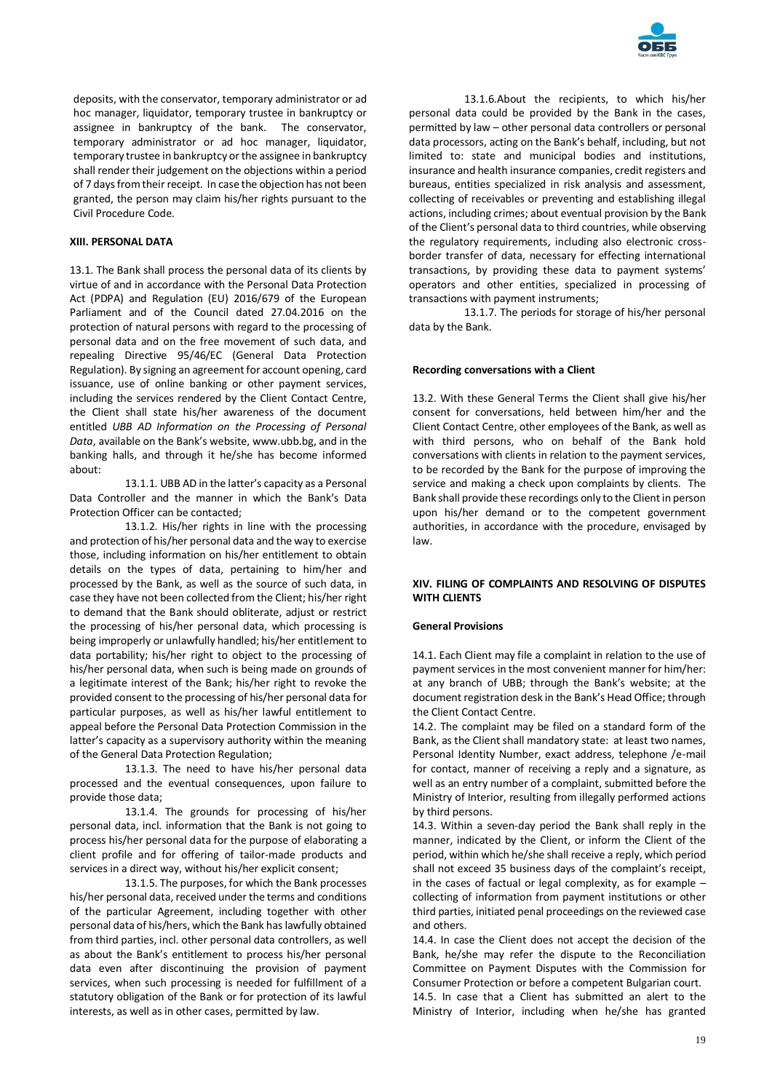

deposits, with the conservator, temporary administrator or ad hoc manager, liquidator, temporary trustee in bankruptcy or assignee in bankruptcy of the bank. The conservator, temporary administrator or ad hoc manager, liquidator, temporary trustee in bankruptcy or the assignee in bankruptcy shall render their judgement on the objections within a period of 7 days from their receipt. In case the objection has not been granted, the person may claim his/her rights pursuant to the Civil Procedure Code.

# **XIII. PERSONAL DATA**

13.1. The Bank shall process the personal data of its clients by virtue of and in accordance with the Personal Data Protection Act (PDPA) and Regulation (EU) 2016/679 of the European Parliament and of the Council dated 27.04.2016 on the protection of natural persons with regard to the processing of personal data and on the free movement of such data, and repealing Directive 95/46/EC (General Data Protection Regulation). By signing an agreement for account opening, card issuance, use of online banking or other payment services, including the services rendered by the Client Contact Centre, the Client shall state his/her awareness of the document entitled *UBB AD Information on the Processing of Personal Data*, available on the Bank's website, www.ubb.bg, and in the banking halls, and through it he/she has become informed about:

13.1.1. UBB AD in the latter's capacity as a Personal Data Controller and the manner in which the Bank's Data Protection Officer can be contacted;

13.1.2. His/her rights in line with the processing and protection of his/her personal data and the way to exercise those, including information on his/her entitlement to obtain details on the types of data, pertaining to him/her and processed by the Bank, as well as the source of such data, in case they have not been collected from the Client; his/her right to demand that the Bank should obliterate, adjust or restrict the processing of his/her personal data, which processing is being improperly or unlawfully handled; his/her entitlement to data portability; his/her right to object to the processing of his/her personal data, when such is being made on grounds of a legitimate interest of the Bank; his/her right to revoke the provided consent to the processing of his/her personal data for particular purposes, as well as his/her lawful entitlement to appeal before the Personal Data Protection Commission in the latter's capacity as a supervisory authority within the meaning of the General Data Protection Regulation;

13.1.3. The need to have his/her personal data processed and the eventual consequences, upon failure to provide those data;

13.1.4. The grounds for processing of his/her personal data, incl. information that the Bank is not going to process his/her personal data for the purpose of elaborating a client profile and for offering of tailor-made products and services in a direct way, without his/her explicit consent;

13.1.5. The purposes, for which the Bank processes his/her personal data, received under the terms and conditions of the particular Agreement, including together with other personal data of his/hers, which the Bank has lawfully obtained from third parties, incl. other personal data controllers, as well as about the Bank's entitlement to process his/her personal data even after discontinuing the provision of payment services, when such processing is needed for fulfillment of a statutory obligation of the Bank or for protection of its lawful interests, as well as in other cases, permitted by law.

13.1.6.About the recipients, to which his/her personal data could be provided by the Bank in the cases, permitted by law – other personal data controllers or personal data processors, acting on the Bank's behalf, including, but not limited to: state and municipal bodies and institutions, insurance and health insurance companies, credit registers and bureaus, entities specialized in risk analysis and assessment, collecting of receivables or preventing and establishing illegal actions, including crimes; about eventual provision by the Bank of the Client's personal data to third countries, while observing the regulatory requirements, including also electronic crossborder transfer of data, necessary for effecting international transactions, by providing these data to payment systems' operators and other entities, specialized in processing of transactions with payment instruments;

13.1.7. The periods for storage of his/her personal data by the Bank.

#### **Recording conversations with a Client**

13.2. With these General Terms the Client shall give his/her consent for conversations, held between him/her and the Client Contact Centre, other employees of the Bank, as well as with third persons, who on behalf of the Bank hold conversations with clients in relation to the payment services, to be recorded by the Bank for the purpose of improving the service and making a check upon complaints by clients. The Bank shall provide these recordings only to the Client in person upon his/her demand or to the competent government authorities, in accordance with the procedure, envisaged by law.

# **XIV. FILING OF COMPLAINTS AND RESOLVING OF DISPUTES WITH CLIENTS**

## **General Provisions**

14.1. Each Client may file a complaint in relation to the use of payment services in the most convenient manner for him/her: at any branch of UBB; through the Bank's website; at the document registration desk in the Bank's Head Office; through the Client Contact Centre.

14.2. The complaint may be filed on a standard form of the Bank, as the Client shall mandatory state: at least two names, Personal Identity Number, exact address, telephone /e-mail for contact, manner of receiving a reply and a signature, as well as an entry number of a complaint, submitted before the Ministry of Interior, resulting from illegally performed actions by third persons.

14.3. Within a seven-day period the Bank shall reply in the manner, indicated by the Client, or inform the Client of the period, within which he/she shall receive a reply, which period shall not exceed 35 business days of the complaint's receipt, in the cases of factual or legal complexity, as for example  $$ collecting of information from payment institutions or other third parties, initiated penal proceedings on the reviewed case and others.

14.4. In case the Client does not accept the decision of the Bank, he/she may refer the dispute to the Reconciliation Committee on Payment Disputes with the Commission for Consumer Protection or before a competent Bulgarian court. 14.5. In case that a Client has submitted an alert to the Ministry of Interior, including when he/she has granted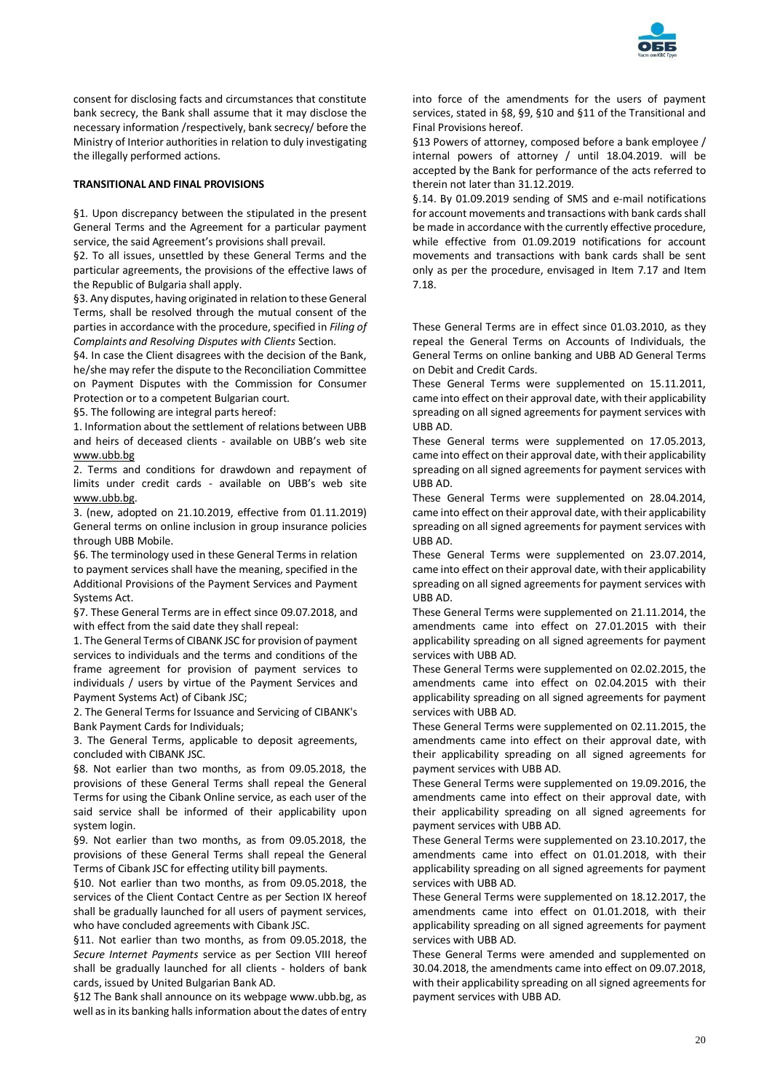

consent for disclosing facts and circumstances that constitute bank secrecy, the Bank shall assume that it may disclose the necessary information /respectively, bank secrecy/ before the Ministry of Interior authorities in relation to duly investigating the illegally performed actions.

# **TRANSITIONAL AND FINAL PROVISIONS**

§1. Upon discrepancy between the stipulated in the present General Terms and the Agreement for a particular payment service, the said Agreement's provisions shall prevail.

§2. To all issues, unsettled by these General Terms and the particular agreements, the provisions of the effective laws of the Republic of Bulgaria shall apply.

§3. Any disputes, having originated in relation to these General Terms, shall be resolved through the mutual consent of the parties in accordance with the procedure, specified in *Filing of Complaints and Resolving Disputes with Clients* Section.

§4. In case the Client disagrees with the decision of the Bank, he/she may refer the dispute to the Reconciliation Committee on Payment Disputes with the Commission for Consumer Protection or to a competent Bulgarian court.

§5. The following are integral parts hereof:

1. Information about the settlement of relations between UBB and heirs of deceased clients - available on UBB's web site [www.ubb.bg](http://www.ubb.bg/)

2. Terms and conditions for drawdown and repayment of limits under credit cards - available on UBB's web site [www.ubb.bg.](http://www.ubb.bg/)

3. (new, adopted on 21.10.2019, effective from 01.11.2019) General terms on online inclusion in group insurance policies through UBB Mobile.

§6. The terminology used in these General Terms in relation to payment services shall have the meaning, specified in the Additional Provisions of the Payment Services and Payment Systems Act.

§7. These General Terms are in effect since 09.07.2018, and with effect from the said date they shall repeal:

1. The General Terms of CIBANK JSC for provision of payment services to individuals and the terms and conditions of the frame agreement for provision of payment services to individuals / users by virtue of the Payment Services and Payment Systems Act) of Cibank JSC;

2. The General Terms for Issuance and Servicing of CIBANK's Bank Payment Cards for Individuals;

3. The General Terms, applicable to deposit agreements, concluded with CIBANK JSC.

§8. Not earlier than two months, as from 09.05.2018, the provisions of these General Terms shall repeal the General Terms for using the Cibank Online service, as each user of the said service shall be informed of their applicability upon system login.

§9. Not earlier than two months, as from 09.05.2018, the provisions of these General Terms shall repeal the General Terms of Cibank JSC for effecting utility bill payments.

§10. Not earlier than two months, as from 09.05.2018, the services of the Client Contact Centre as per Section IX hereof shall be gradually launched for all users of payment services, who have concluded agreements with Cibank JSC.

§11. Not earlier than two months, as from 09.05.2018, the *Secure Internet Payments* service as per Section VIII hereof shall be gradually launched for all clients - holders of bank cards, issued by United Bulgarian Bank AD.

§12 The Bank shall announce on its webpage www.ubb.bg, as well as in its banking halls information about the dates of entry into force of the amendments for the users of payment services, stated in §8, §9, §10 and §11 of the Transitional and Final Provisions hereof.

§13 Powers of attorney, composed before a bank employee / internal powers of attorney / until 18.04.2019. will be accepted by the Bank for performance of the acts referred to therein not later than 31.12.2019.

§.14. By 01.09.2019 sending of SMS and e-mail notifications for account movements and transactions with bank cards shall be made in accordance with the currently effective procedure, while effective from 01.09.2019 notifications for account movements and transactions with bank cards shall be sent only as per the procedure, envisaged in Item 7.17 and Item 7.18.

These General Terms are in effect since 01.03.2010, as they repeal the General Terms on Accounts of Individuals, the General Terms on online banking and UBB AD General Terms on Debit and Credit Cards.

These General Terms were supplemented on 15.11.2011, came into effect on their approval date, with their applicability spreading on all signed agreements for payment services with UBB AD.

These General terms were supplemented on 17.05.2013, came into effect on their approval date, with their applicability spreading on all signed agreements for payment services with UBB AD.

These General Terms were supplemented on 28.04.2014, came into effect on their approval date, with their applicability spreading on all signed agreements for payment services with UBB AD.

These General Terms were supplemented on 23.07.2014, came into effect on their approval date, with their applicability spreading on all signed agreements for payment services with UBB AD.

These General Terms were supplemented on 21.11.2014, the amendments came into effect on 27.01.2015 with their applicability spreading on all signed agreements for payment services with UBB AD.

These General Terms were supplemented on 02.02.2015, the amendments came into effect on 02.04.2015 with their applicability spreading on all signed agreements for payment services with UBB AD.

These General Terms were supplemented on 02.11.2015, the amendments came into effect on their approval date, with their applicability spreading on all signed agreements for payment services with UBB AD.

These General Terms were supplemented on 19.09.2016, the amendments came into effect on their approval date, with their applicability spreading on all signed agreements for payment services with UBB AD.

These General Terms were supplemented on 23.10.2017, the amendments came into effect on 01.01.2018, with their applicability spreading on all signed agreements for payment services with UBB AD.

These General Terms were supplemented on 18.12.2017, the amendments came into effect on 01.01.2018, with their applicability spreading on all signed agreements for payment services with UBB AD.

These General Terms were amended and supplemented on 30.04.2018, the amendments came into effect on 09.07.2018, with their applicability spreading on all signed agreements for payment services with UBB AD.